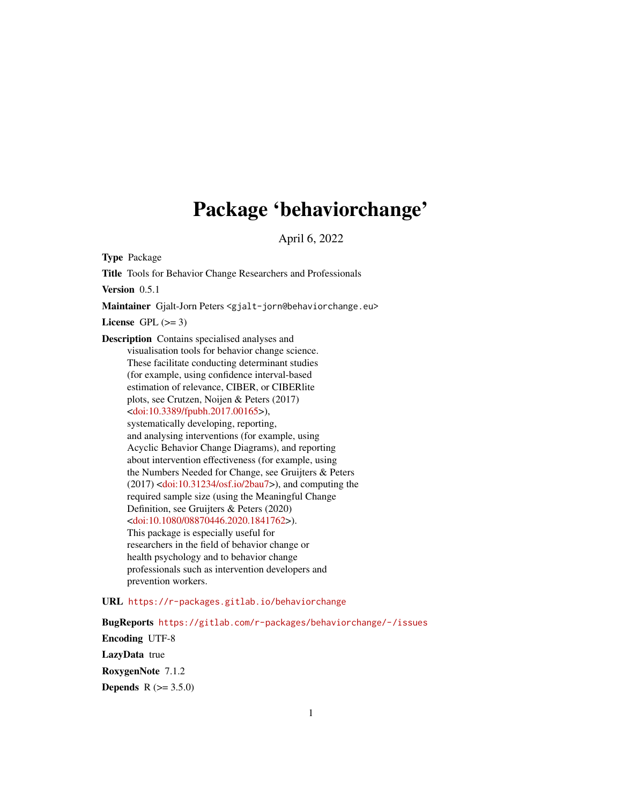# Package 'behaviorchange'

April 6, 2022

<span id="page-0-0"></span>Type Package Title Tools for Behavior Change Researchers and Professionals Version 0.5.1 Maintainer Gjalt-Jorn Peters <gjalt-jorn@behaviorchange.eu> License GPL  $(>= 3)$ Description Contains specialised analyses and visualisation tools for behavior change science. These facilitate conducting determinant studies (for example, using confidence interval-based estimation of relevance, CIBER, or CIBERlite plots, see Crutzen, Noijen & Peters (2017) [<doi:10.3389/fpubh.2017.00165>](https://doi.org/10.3389/fpubh.2017.00165)), systematically developing, reporting, and analysing interventions (for example, using Acyclic Behavior Change Diagrams), and reporting about intervention effectiveness (for example, using the Numbers Needed for Change, see Gruijters & Peters  $(2017)$  [<doi:10.31234/osf.io/2bau7>](https://doi.org/10.31234/osf.io/2bau7)), and computing the required sample size (using the Meaningful Change Definition, see Gruijters & Peters (2020) [<doi:10.1080/08870446.2020.1841762>](https://doi.org/10.1080/08870446.2020.1841762)). This package is especially useful for researchers in the field of behavior change or health psychology and to behavior change professionals such as intervention developers and prevention workers.

# URL <https://r-packages.gitlab.io/behaviorchange>

BugReports <https://gitlab.com/r-packages/behaviorchange/-/issues> Encoding UTF-8 LazyData true RoxygenNote 7.1.2 **Depends** R  $(>= 3.5.0)$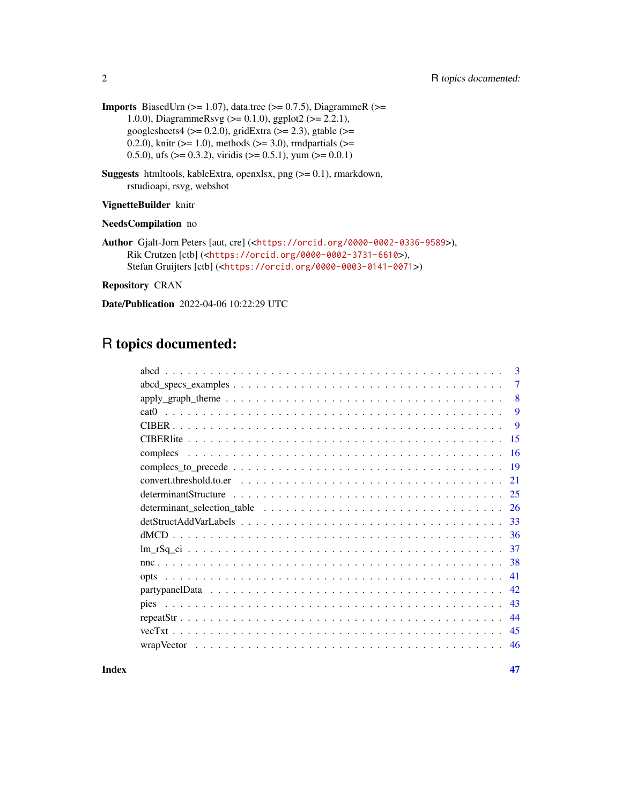- **Imports** BiasedUrn ( $>= 1.07$ ), data.tree ( $>= 0.7.5$ ), DiagrammeR ( $>=$ 1.0.0), DiagrammeRsvg (>= 0.1.0), ggplot2 (>= 2.2.1), googlesheets $4 \left( \right) = 0.2.0$ , gridExtra ( $\right) = 2.3$ ), gtable ( $\right) =$ 0.2.0), knitr ( $>= 1.0$ ), methods ( $>= 3.0$ ), rmdpartials ( $>= 1.0$ ) 0.5.0), ufs ( $> = 0.3.2$ ), viridis ( $> = 0.5.1$ ), yum ( $> = 0.0.1$ )
- **Suggests** htmltools, kableExtra, openxlsx, png  $(>= 0.1)$ , rmarkdown, rstudioapi, rsvg, webshot

#### VignetteBuilder knitr

NeedsCompilation no

```
Author Gjalt-Jorn Peters [aut, cre] (<https://orcid.org/0000-0002-0336-9589>),
     Rik Crutzen [ctb] (<https://orcid.org/0000-0002-3731-6610>),
     Stefan Gruijters [ctb] (<https://orcid.org/0000-0003-0141-0071>)
```
Repository CRAN

Date/Publication 2022-04-06 10:22:29 UTC

# R topics documented:

| $\mathbf{3}$                                                                                                                  |
|-------------------------------------------------------------------------------------------------------------------------------|
| 7                                                                                                                             |
| $apply\_graph_{\text{th}}$ theme $\ldots \ldots \ldots \ldots \ldots \ldots \ldots \ldots \ldots \ldots \ldots \ldots$<br>8   |
| 9                                                                                                                             |
| 9                                                                                                                             |
| 15                                                                                                                            |
| 16                                                                                                                            |
| -19                                                                                                                           |
| $convert.$ threshold.to.er $\ldots \ldots \ldots \ldots \ldots \ldots \ldots \ldots \ldots \ldots \ldots \ldots \ldots$<br>21 |
| 25                                                                                                                            |
| $determinant_s selection_table \dots \dots \dots \dots \dots \dots \dots \dots \dots \dots \dots \dots \dots \dots$<br>-26    |
| 33                                                                                                                            |
| -36                                                                                                                           |
| -37                                                                                                                           |
| 38                                                                                                                            |
| 41                                                                                                                            |
| 42                                                                                                                            |
| 43                                                                                                                            |
| 44                                                                                                                            |
| 45                                                                                                                            |
| 46                                                                                                                            |
|                                                                                                                               |

**Index** [47](#page-46-0)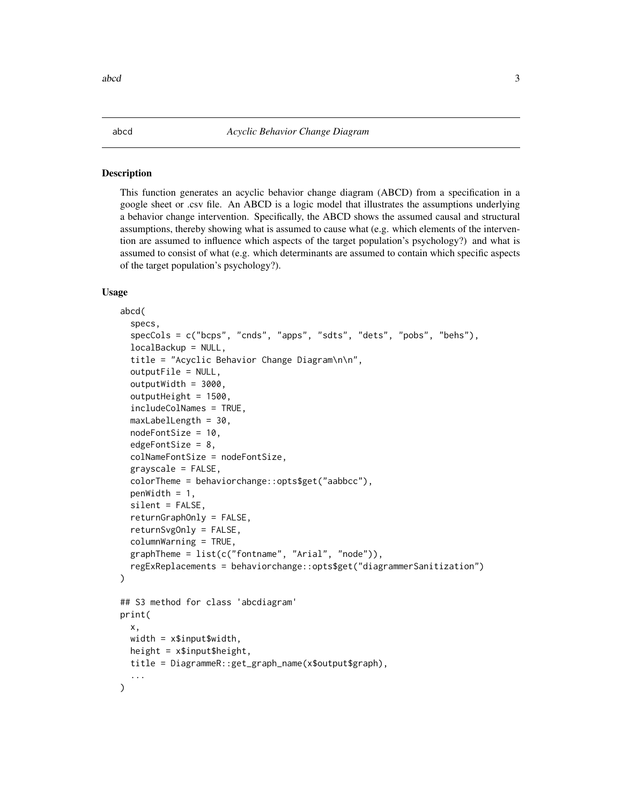#### Description

This function generates an acyclic behavior change diagram (ABCD) from a specification in a google sheet or .csv file. An ABCD is a logic model that illustrates the assumptions underlying a behavior change intervention. Specifically, the ABCD shows the assumed causal and structural assumptions, thereby showing what is assumed to cause what (e.g. which elements of the intervention are assumed to influence which aspects of the target population's psychology?) and what is assumed to consist of what (e.g. which determinants are assumed to contain which specific aspects of the target population's psychology?).

#### Usage

```
abcd(
  specs,
  specCols = c("bcps", "cnds", "apps", "sdts", "dets", "pobs", "behs"),
  localBackup = NULL,
  title = "Acyclic Behavior Change Diagram\n\n",
  outputFile = NULL,
  outputWidth = 3000,
  outputHeight = 1500,includeColNames = TRUE,
  maxLabelLength = 30,
  nodeFontSize = 10,
  edgeFontSize = 8,
  colNameFontSize = nodeFontSize,
  grayscale = FALSE,
  colorTheme = behaviorchange::opts$get("aabbcc"),
  penWidth = 1,
  silent = FALSE,returnGraphOnly = FALSE,
  returnSvgOnly = FALSE,
  columnWarning = TRUE,
  graphTheme = list(c("fontname", "Arial", "node")),
  regExReplacements = behaviorchange::opts$get("diagrammerSanitization")
)
## S3 method for class 'abcdiagram'
print(
  x,
 width = x$input$width.
 height = x$input$height.
  title = DiagrammeR::get_graph_name(x$output$graph),
  ...
)
```
<span id="page-2-1"></span><span id="page-2-0"></span>abcd 3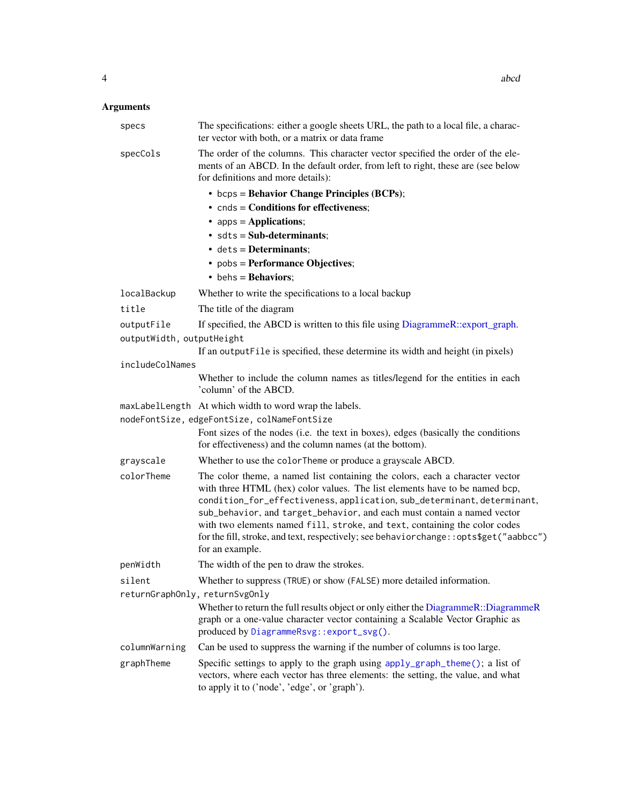<span id="page-3-0"></span>

| specs                                   | The specifications: either a google sheets URL, the path to a local file, a charac-<br>ter vector with both, or a matrix or data frame                                                                                                                                                                                                                                                                                                                                                                       |
|-----------------------------------------|--------------------------------------------------------------------------------------------------------------------------------------------------------------------------------------------------------------------------------------------------------------------------------------------------------------------------------------------------------------------------------------------------------------------------------------------------------------------------------------------------------------|
| specCols                                | The order of the columns. This character vector specified the order of the ele-<br>ments of an ABCD. In the default order, from left to right, these are (see below<br>for definitions and more details):                                                                                                                                                                                                                                                                                                    |
|                                         | • bcps = Behavior Change Principles (BCPs);                                                                                                                                                                                                                                                                                                                                                                                                                                                                  |
|                                         | $\bullet$ cnds = Conditions for effectiveness;                                                                                                                                                                                                                                                                                                                                                                                                                                                               |
|                                         | • apps = Applications;                                                                                                                                                                                                                                                                                                                                                                                                                                                                                       |
|                                         | $\bullet$ sdts = Sub-determinants;                                                                                                                                                                                                                                                                                                                                                                                                                                                                           |
|                                         | $\bullet$ dets = Determinants;                                                                                                                                                                                                                                                                                                                                                                                                                                                                               |
|                                         | • pobs = Performance Objectives;                                                                                                                                                                                                                                                                                                                                                                                                                                                                             |
|                                         | • behs = Behaviors;                                                                                                                                                                                                                                                                                                                                                                                                                                                                                          |
| localBackup                             | Whether to write the specifications to a local backup                                                                                                                                                                                                                                                                                                                                                                                                                                                        |
| title                                   | The title of the diagram                                                                                                                                                                                                                                                                                                                                                                                                                                                                                     |
| outputFile<br>outputWidth, outputHeight | If specified, the ABCD is written to this file using DiagrammeR::export_graph.                                                                                                                                                                                                                                                                                                                                                                                                                               |
|                                         | If an output File is specified, these determine its width and height (in pixels)                                                                                                                                                                                                                                                                                                                                                                                                                             |
| includeColNames                         |                                                                                                                                                                                                                                                                                                                                                                                                                                                                                                              |
|                                         | Whether to include the column names as titles/legend for the entities in each<br>'column' of the ABCD.                                                                                                                                                                                                                                                                                                                                                                                                       |
|                                         | maxLabelLength At which width to word wrap the labels.                                                                                                                                                                                                                                                                                                                                                                                                                                                       |
|                                         | nodeFontSize, edgeFontSize, colNameFontSize                                                                                                                                                                                                                                                                                                                                                                                                                                                                  |
|                                         | Font sizes of the nodes (i.e. the text in boxes), edges (basically the conditions<br>for effectiveness) and the column names (at the bottom).                                                                                                                                                                                                                                                                                                                                                                |
| grayscale                               | Whether to use the colorTheme or produce a grayscale ABCD.                                                                                                                                                                                                                                                                                                                                                                                                                                                   |
| colorTheme                              | The color theme, a named list containing the colors, each a character vector<br>with three HTML (hex) color values. The list elements have to be named bcp,<br>condition_for_effectiveness, application, sub_determinant, determinant,<br>sub_behavior, and target_behavior, and each must contain a named vector<br>with two elements named fill, stroke, and text, containing the color codes<br>for the fill, stroke, and text, respectively; see behaviorchange:: opts\$get("aabbcc")<br>for an example. |
| penWidth                                | The width of the pen to draw the strokes.                                                                                                                                                                                                                                                                                                                                                                                                                                                                    |
| silent                                  | Whether to suppress (TRUE) or show (FALSE) more detailed information.                                                                                                                                                                                                                                                                                                                                                                                                                                        |
| returnGraphOnly, returnSvgOnly          |                                                                                                                                                                                                                                                                                                                                                                                                                                                                                                              |
|                                         | Whether to return the full results object or only either the DiagrammeR::DiagrammeR<br>graph or a one-value character vector containing a Scalable Vector Graphic as<br>produced by DiagrammeRsvg::export_svg().                                                                                                                                                                                                                                                                                             |
| columnWarning                           | Can be used to suppress the warning if the number of columns is too large.                                                                                                                                                                                                                                                                                                                                                                                                                                   |
| graphTheme                              | Specific settings to apply to the graph using apply_graph_theme(); a list of<br>vectors, where each vector has three elements: the setting, the value, and what<br>to apply it to ('node', 'edge', or 'graph').                                                                                                                                                                                                                                                                                              |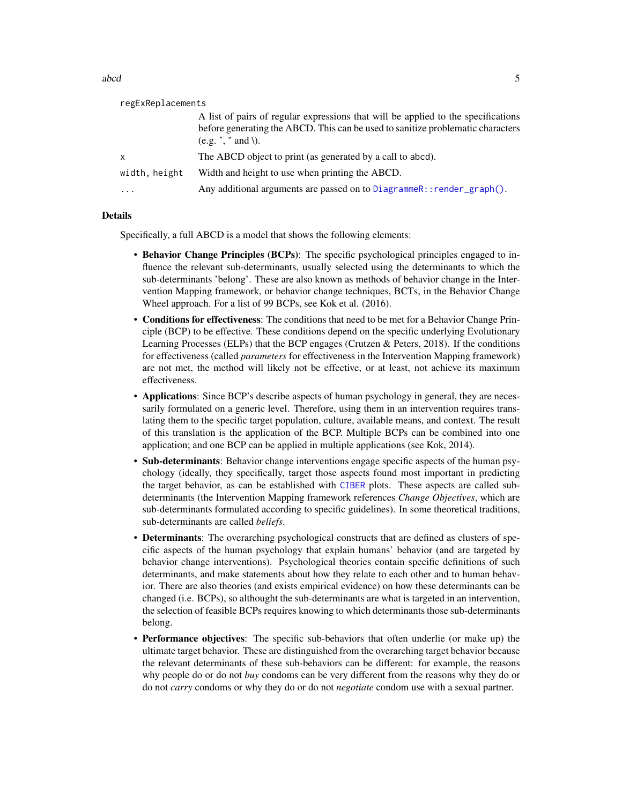<span id="page-4-0"></span>abcd 5 and 5 and 5 and 5 and 5 and 5 and 5 and 5 and 5 and 5 and 5 and 5 and 5 and 5 and 5 and 5 and 5 and 5 and 5 and 5 and 5 and 5 and 5 and 5 and 5 and 5 and 5 and 5 and 5 and 5 and 5 and 5 and 5 and 5 and 5 and 5 and 5

| regExReplacements |                                                                                                                                                                                             |  |
|-------------------|---------------------------------------------------------------------------------------------------------------------------------------------------------------------------------------------|--|
|                   | A list of pairs of regular expressions that will be applied to the specifications<br>before generating the ABCD. This can be used to sanitize problematic characters<br>$(e.g.$ , " and \). |  |
| x                 | The ABCD object to print (as generated by a call to abcd).                                                                                                                                  |  |
| width, height     | Width and height to use when printing the ABCD.                                                                                                                                             |  |
| .                 | Any additional arguments are passed on to DiagrammeR:: render_graph().                                                                                                                      |  |
|                   |                                                                                                                                                                                             |  |

#### Details

Specifically, a full ABCD is a model that shows the following elements:

- Behavior Change Principles (BCPs): The specific psychological principles engaged to influence the relevant sub-determinants, usually selected using the determinants to which the sub-determinants 'belong'. These are also known as methods of behavior change in the Intervention Mapping framework, or behavior change techniques, BCTs, in the Behavior Change Wheel approach. For a list of 99 BCPs, see Kok et al. (2016).
- Conditions for effectiveness: The conditions that need to be met for a Behavior Change Principle (BCP) to be effective. These conditions depend on the specific underlying Evolutionary Learning Processes (ELPs) that the BCP engages (Crutzen & Peters, 2018). If the conditions for effectiveness (called *parameters* for effectiveness in the Intervention Mapping framework) are not met, the method will likely not be effective, or at least, not achieve its maximum effectiveness.
- Applications: Since BCP's describe aspects of human psychology in general, they are necessarily formulated on a generic level. Therefore, using them in an intervention requires translating them to the specific target population, culture, available means, and context. The result of this translation is the application of the BCP. Multiple BCPs can be combined into one application; and one BCP can be applied in multiple applications (see Kok, 2014).
- Sub-determinants: Behavior change interventions engage specific aspects of the human psychology (ideally, they specifically, target those aspects found most important in predicting the target behavior, as can be established with [CIBER](#page-8-1) plots. These aspects are called subdeterminants (the Intervention Mapping framework references *Change Objectives*, which are sub-determinants formulated according to specific guidelines). In some theoretical traditions, sub-determinants are called *beliefs*.
- Determinants: The overarching psychological constructs that are defined as clusters of specific aspects of the human psychology that explain humans' behavior (and are targeted by behavior change interventions). Psychological theories contain specific definitions of such determinants, and make statements about how they relate to each other and to human behavior. There are also theories (and exists empirical evidence) on how these determinants can be changed (i.e. BCPs), so althought the sub-determinants are what is targeted in an intervention, the selection of feasible BCPs requires knowing to which determinants those sub-determinants belong.
- Performance objectives: The specific sub-behaviors that often underlie (or make up) the ultimate target behavior. These are distinguished from the overarching target behavior because the relevant determinants of these sub-behaviors can be different: for example, the reasons why people do or do not *buy* condoms can be very different from the reasons why they do or do not *carry* condoms or why they do or do not *negotiate* condom use with a sexual partner.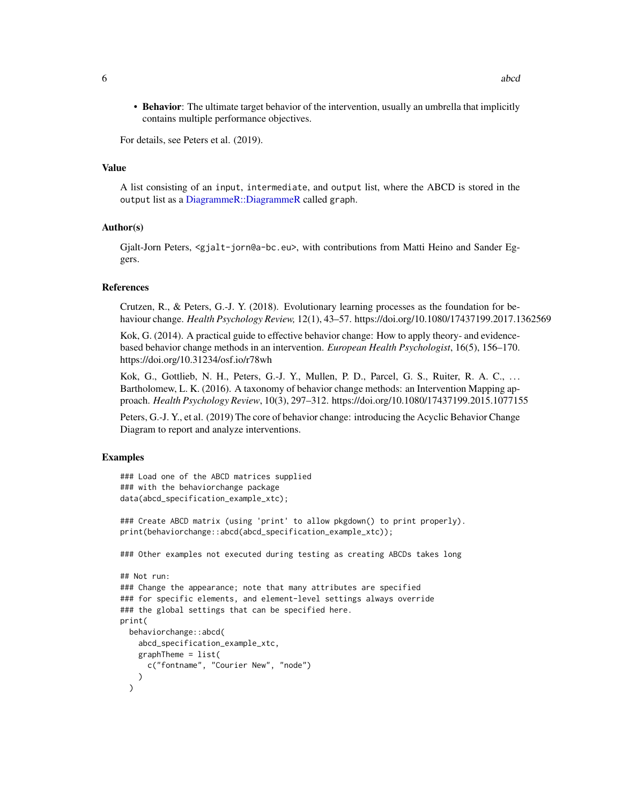<span id="page-5-0"></span>• Behavior: The ultimate target behavior of the intervention, usually an umbrella that implicitly contains multiple performance objectives.

For details, see Peters et al. (2019).

#### Value

A list consisting of an input, intermediate, and output list, where the ABCD is stored in the output list as a [DiagrammeR::DiagrammeR](#page-0-0) called graph.

#### Author(s)

Gjalt-Jorn Peters, <gjalt-jorn@a-bc.eu>, with contributions from Matti Heino and Sander Eggers.

#### References

Crutzen, R., & Peters, G.-J. Y. (2018). Evolutionary learning processes as the foundation for behaviour change. *Health Psychology Review,* 12(1), 43–57. https://doi.org/10.1080/17437199.2017.1362569

Kok, G. (2014). A practical guide to effective behavior change: How to apply theory- and evidencebased behavior change methods in an intervention. *European Health Psychologist*, 16(5), 156–170. https://doi.org/10.31234/osf.io/r78wh

Kok, G., Gottlieb, N. H., Peters, G.-J. Y., Mullen, P. D., Parcel, G. S., Ruiter, R. A. C., . . . Bartholomew, L. K. (2016). A taxonomy of behavior change methods: an Intervention Mapping approach. *Health Psychology Review*, 10(3), 297–312. https://doi.org/10.1080/17437199.2015.1077155

Peters, G.-J. Y., et al. (2019) The core of behavior change: introducing the Acyclic Behavior Change Diagram to report and analyze interventions.

```
### Load one of the ABCD matrices supplied
### with the behaviorchange package
data(abcd_specification_example_xtc);
### Create ABCD matrix (using 'print' to allow pkgdown() to print properly).
print(behaviorchange::abcd(abcd_specification_example_xtc));
### Other examples not executed during testing as creating ABCDs takes long
## Not run:
### Change the appearance; note that many attributes are specified
### for specific elements, and element-level settings always override
### the global settings that can be specified here.
print(
 behaviorchange::abcd(
   abcd_specification_example_xtc,
   graphTheme = list(
     c("fontname", "Courier New", "node")
   )
 )
```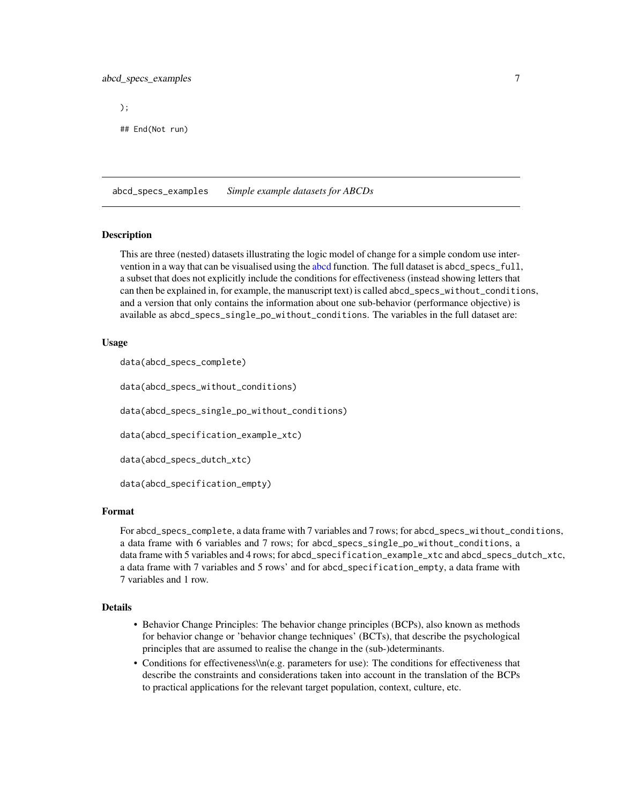# <span id="page-6-0"></span>abcd\_specs\_examples 7

);

## End(Not run)

abcd\_specs\_examples *Simple example datasets for ABCDs*

#### Description

This are three (nested) datasets illustrating the logic model of change for a simple condom use intervention in a way that can be visualised using the [abcd](#page-2-1) function. The full dataset is abcd\_specs\_full, a subset that does not explicitly include the conditions for effectiveness (instead showing letters that can then be explained in, for example, the manuscript text) is called abcd\_specs\_without\_conditions, and a version that only contains the information about one sub-behavior (performance objective) is available as abcd\_specs\_single\_po\_without\_conditions. The variables in the full dataset are:

#### Usage

data(abcd\_specs\_complete)

data(abcd\_specs\_without\_conditions)

data(abcd\_specs\_single\_po\_without\_conditions)

data(abcd\_specification\_example\_xtc)

data(abcd\_specs\_dutch\_xtc)

data(abcd\_specification\_empty)

#### Format

For abcd\_specs\_complete, a data frame with 7 variables and 7 rows; for abcd\_specs\_without\_conditions, a data frame with 6 variables and 7 rows; for abcd\_specs\_single\_po\_without\_conditions, a data frame with 5 variables and 4 rows; for abcd\_specification\_example\_xtc and abcd\_specs\_dutch\_xtc, a data frame with 7 variables and 5 rows' and for abcd\_specification\_empty, a data frame with 7 variables and 1 row.

#### Details

- Behavior Change Principles: The behavior change principles (BCPs), also known as methods for behavior change or 'behavior change techniques' (BCTs), that describe the psychological principles that are assumed to realise the change in the (sub-)determinants.
- Conditions for effectiveness\\n(e.g. parameters for use): The conditions for effectiveness that describe the constraints and considerations taken into account in the translation of the BCPs to practical applications for the relevant target population, context, culture, etc.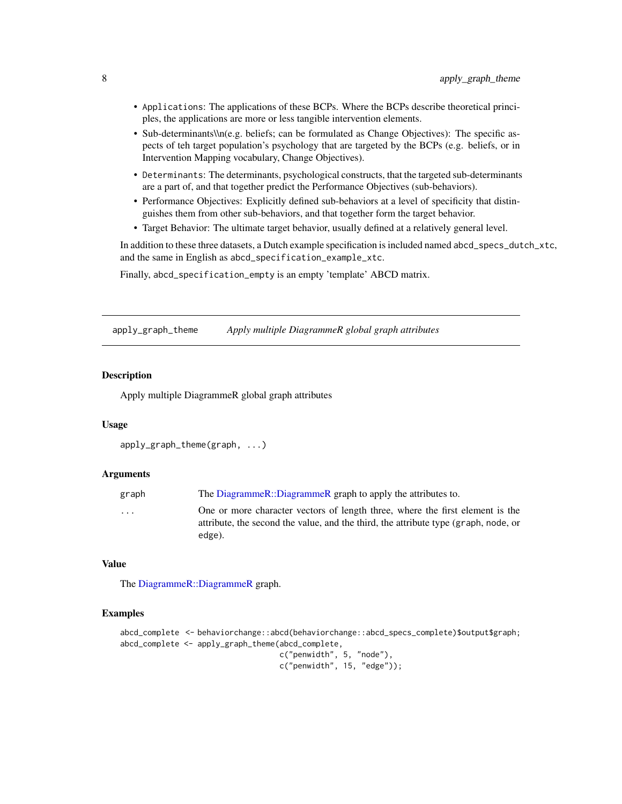- <span id="page-7-0"></span>• Applications: The applications of these BCPs. Where the BCPs describe theoretical principles, the applications are more or less tangible intervention elements.
- Sub-determinants\\n(e.g. beliefs; can be formulated as Change Objectives): The specific aspects of teh target population's psychology that are targeted by the BCPs (e.g. beliefs, or in Intervention Mapping vocabulary, Change Objectives).
- Determinants: The determinants, psychological constructs, that the targeted sub-determinants are a part of, and that together predict the Performance Objectives (sub-behaviors).
- Performance Objectives: Explicitly defined sub-behaviors at a level of specificity that distinguishes them from other sub-behaviors, and that together form the target behavior.
- Target Behavior: The ultimate target behavior, usually defined at a relatively general level.

In addition to these three datasets, a Dutch example specification is included named abcd\_specs\_dutch\_xtc, and the same in English as abcd\_specification\_example\_xtc.

Finally, abcd\_specification\_empty is an empty 'template' ABCD matrix.

<span id="page-7-1"></span>apply\_graph\_theme *Apply multiple DiagrammeR global graph attributes*

# Description

Apply multiple DiagrammeR global graph attributes

#### Usage

```
apply_graph_theme(graph, ...)
```
#### Arguments

| graph                   | The DiagrammeR::DiagrammeR graph to apply the attributes to.                                                                                                         |
|-------------------------|----------------------------------------------------------------------------------------------------------------------------------------------------------------------|
| $\cdot$ $\cdot$ $\cdot$ | One or more character vectors of length three, where the first element is the<br>attribute, the second the value, and the third, the attribute type (graph, node, or |
|                         | edge).                                                                                                                                                               |

# Value

The [DiagrammeR::DiagrammeR](#page-0-0) graph.

```
abcd_complete <- behaviorchange::abcd(behaviorchange::abcd_specs_complete)$output$graph;
abcd_complete <- apply_graph_theme(abcd_complete,
```

```
c("penwidth", 5, "node"),
c("penwidth", 15, "edge"));
```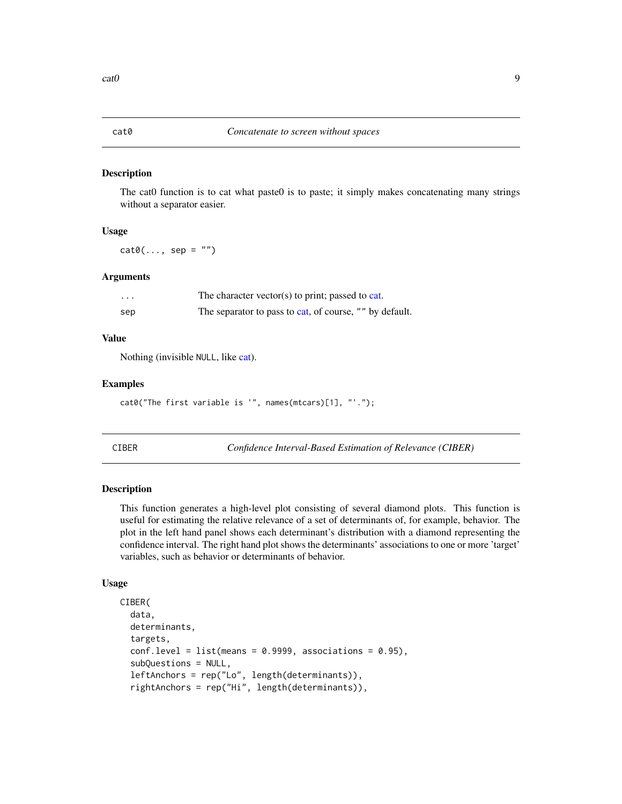#### <span id="page-8-0"></span>Description

The cat0 function is to cat what paste0 is to paste; it simply makes concatenating many strings without a separator easier.

#### Usage

 $cat@(..., sep = "")$ 

#### Arguments

| .   | The character vector(s) to print; passed to cat.        |
|-----|---------------------------------------------------------|
| sep | The separator to pass to cat, of course, "" by default. |

#### Value

Nothing (invisible NULL, like [cat\)](#page-0-0).

# Examples

cat0("The first variable is '", names(mtcars)[1], "'.");

<span id="page-8-1"></span>

CIBER *Confidence Interval-Based Estimation of Relevance (CIBER)*

#### <span id="page-8-2"></span>Description

This function generates a high-level plot consisting of several diamond plots. This function is useful for estimating the relative relevance of a set of determinants of, for example, behavior. The plot in the left hand panel shows each determinant's distribution with a diamond representing the confidence interval. The right hand plot shows the determinants' associations to one or more 'target' variables, such as behavior or determinants of behavior.

#### Usage

```
CIBER(
  data,
  determinants,
  targets,
  conf. level = list(means = 0.9999, associations = 0.95),
  subQuestions = NULL,
  leftAnchors = rep("Lo", length(determinants)),
  rightAnchors = rep("Hi", length(determinants)),
```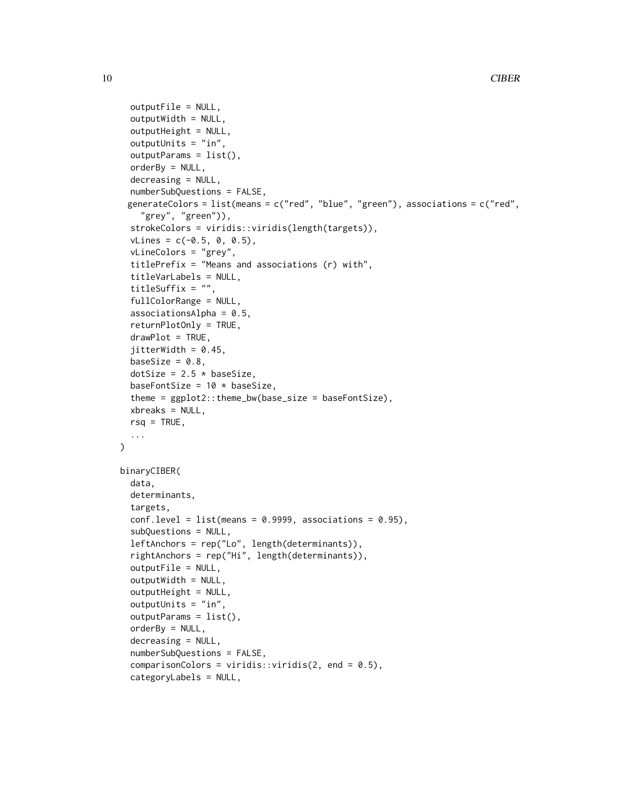```
outputFile = NULL,
  outputWidth = NULL,
  outputHeight = NULL,
  outputUnits = "in",
  outputParams = list(),
  orderBy = NULL,
  decreasing = NULL,
  numberSubQuestions = FALSE,
 generateColors = list(means = c("red", "blue", "green"), associations = c("red",
    "grey", "green")),
  strokeColors = viridis::viridis(length(targets)),
  vLines = c(-0.5, 0, 0.5),vLineColors = "grey",
  titlePrefix = "Means and associations (r) with",
  titleVarLabels = NULL,
  titleSuffix = "",
  fullColorRange = NULL,
  associationsAlpha = 0.5,
  returnPlotOnly = TRUE,
  drawPlot = TRUE,
  jitterWidth = 0.45,baseSize = 0.8,
  dotSize = 2.5 * baseSize,
  baseFontSize = 10 * baseSize,
  theme = ggplot2::theme_bw(base_size = baseFontSize),
  xbreaks = NULL,
  rsq = TRUE,...
\mathcal{L}binaryCIBER(
  data,
  determinants,
  targets,
  conf. level = list(means = 0.9999, associations = 0.95),
  subQuestions = NULL,
  leftAnchors = rep("Lo", length(determinants)),
  rightAnchors = rep("Hi", length(determinants)),
  outputFile = NULL,
  outputWidth = NULL,
  outputHeight = NULL,
  outputUnits = "in",
  outputParams = list(),
  orderBy = NULL,decreasing = NULL,
  numberSubQuestions = FALSE,
  comparisonColors = viridis::viridis(2, end = 0.5),categoryLabels = NULL,
```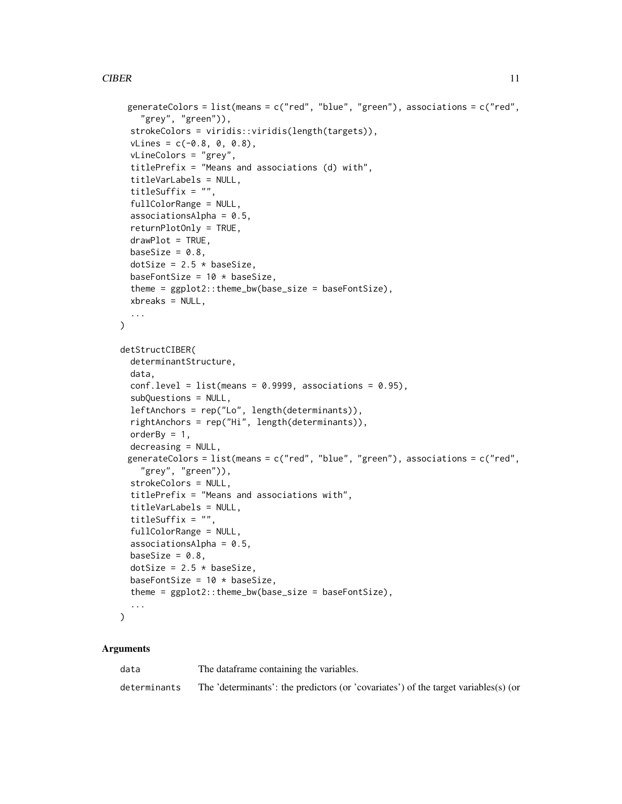# CIBER 11

```
generateColors = list(means = c("red", "blue", "green"), associations = c("red",
    "grey", "green")),
  strokeColors = viridis::viridis(length(targets)),
  vLines = c(-0.8, 0, 0.8),vLineColors = "grey",
  titlePrefix = "Means and associations (d) with",
  titleVarLabels = NULL,
  titleSuffix = "",
  fullColorRange = NULL,
  associationsAlpha = 0.5,
  returnPlotOnly = TRUE,
  drawPlot = TRUE,baseSize = 0.8,
  dotSize = 2.5 * baseSize,
  baseFontSize = 10 * baseSize,
  theme = ggplot2::theme_bw(base_size = baseFontSize),
  xbreaks = NULL,
  ...
\lambdadetStructCIBER(
  determinantStructure,
  data,
  conf. level = list(means = 0.9999, associations = 0.95),
  subQuestions = NULL,
  leftAnchors = rep("Lo", length(determinants)),
  rightAnchors = rep("Hi", length(determinants)),
  orderBy = 1,
  decreasing = NULL,
 generateColors = list(means = c("red", "blue", "green"), associations = c("red",
    "grey", "green")),
  strokeColors = NULL,
  titlePrefix = "Means and associations with",
  titleVarLabels = NULL,
  titleSuffix = "",
  fullColorRange = NULL,
  associationsAlpha = 0.5,
 baseSize = 0.8,
  dotSize = 2.5 * baseSize,
  baseFontSize = 10 * baseSize,
  theme = ggplot2::theme_bw(base_size = baseFontSize),
  ...
\mathcal{L}
```

| data         | The data frame containing the variables.                                            |
|--------------|-------------------------------------------------------------------------------------|
| determinants | The 'determinants': the predictors (or 'covariates') of the target variables(s) (or |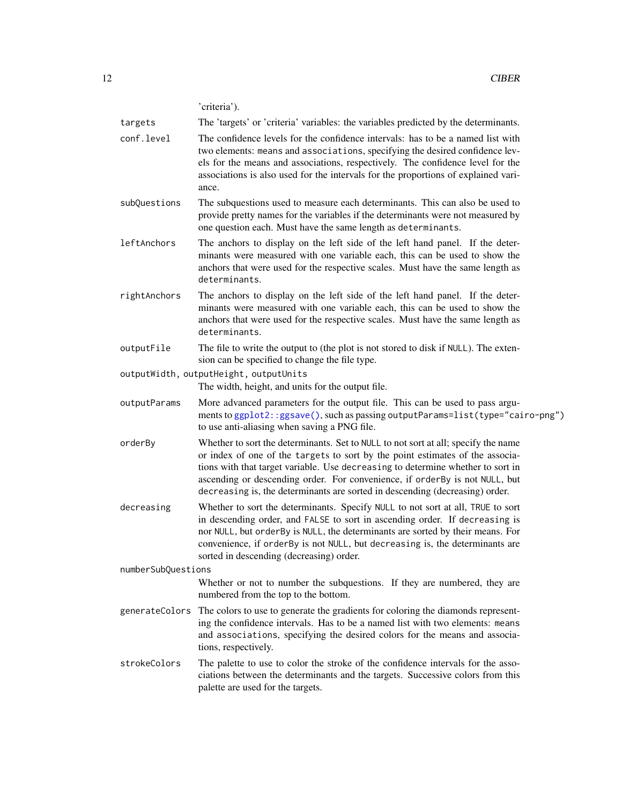'criteria').

<span id="page-11-0"></span>

| The 'targets' or 'criteria' variables: the variables predicted by the determinants.<br>targets |  |
|------------------------------------------------------------------------------------------------|--|
|------------------------------------------------------------------------------------------------|--|

- conf.level The confidence levels for the confidence intervals: has to be a named list with two elements: means and associations, specifying the desired confidence levels for the means and associations, respectively. The confidence level for the associations is also used for the intervals for the proportions of explained variance.
- subQuestions The subquestions used to measure each determinants. This can also be used to provide pretty names for the variables if the determinants were not measured by one question each. Must have the same length as determinants.
- leftAnchors The anchors to display on the left side of the left hand panel. If the determinants were measured with one variable each, this can be used to show the anchors that were used for the respective scales. Must have the same length as determinants.
- rightAnchors The anchors to display on the left side of the left hand panel. If the determinants were measured with one variable each, this can be used to show the anchors that were used for the respective scales. Must have the same length as determinants.
- outputFile The file to write the output to (the plot is not stored to disk if NULL). The extension can be specified to change the file type.
- outputWidth, outputHeight, outputUnits

The width, height, and units for the output file.

- outputParams More advanced parameters for the output file. This can be used to pass arguments to [ggplot2::ggsave\(\)](#page-0-0), such as passing outputParams=list(type="cairo-png") to use anti-aliasing when saving a PNG file.
- orderBy Whether to sort the determinants. Set to NULL to not sort at all; specify the name or index of one of the targets to sort by the point estimates of the associations with that target variable. Use decreasing to determine whether to sort in ascending or descending order. For convenience, if orderBy is not NULL, but decreasing is, the determinants are sorted in descending (decreasing) order.
- decreasing Whether to sort the determinants. Specify NULL to not sort at all, TRUE to sort in descending order, and FALSE to sort in ascending order. If decreasing is nor NULL, but orderBy is NULL, the determinants are sorted by their means. For convenience, if orderBy is not NULL, but decreasing is, the determinants are sorted in descending (decreasing) order.

numberSubQuestions

Whether or not to number the subquestions. If they are numbered, they are numbered from the top to the bottom.

- generateColors The colors to use to generate the gradients for coloring the diamonds representing the confidence intervals. Has to be a named list with two elements: means and associations, specifying the desired colors for the means and associations, respectively.
- strokeColors The palette to use to color the stroke of the confidence intervals for the associations between the determinants and the targets. Successive colors from this palette are used for the targets.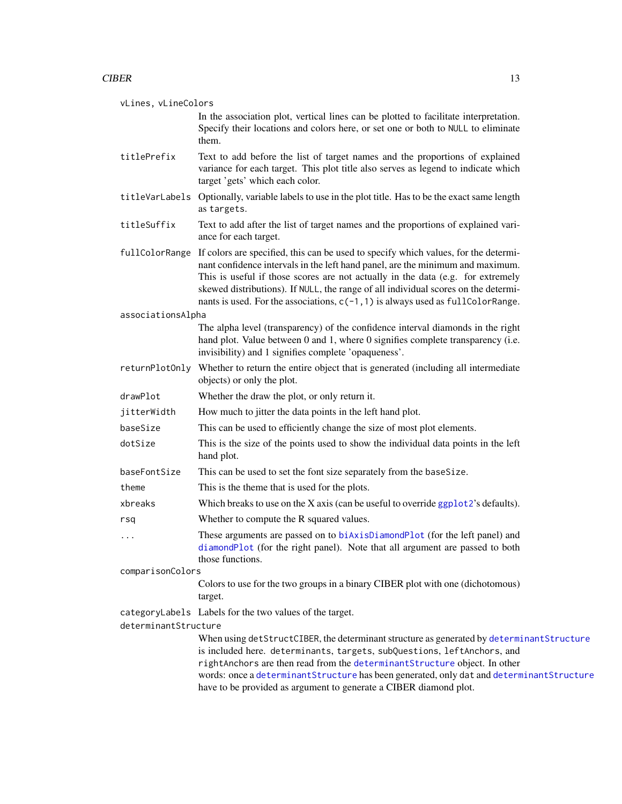<span id="page-12-0"></span>vLines, vLineColors

In the association plot, vertical lines can be plotted to facilitate interpretation. Specify their locations and colors here, or set one or both to NULL to eliminate them.

- titlePrefix Text to add before the list of target names and the proportions of explained variance for each target. This plot title also serves as legend to indicate which target 'gets' which each color.
- titleVarLabels Optionally, variable labels to use in the plot title. Has to be the exact same length as targets.
- titleSuffix Text to add after the list of target names and the proportions of explained variance for each target.

fullColorRange If colors are specified, this can be used to specify which values, for the determinant confidence intervals in the left hand panel, are the minimum and maximum. This is useful if those scores are not actually in the data (e.g. for extremely skewed distributions). If NULL, the range of all individual scores on the determinants is used. For the associations,  $c(-1,1)$  is always used as fullColorRange.

associationsAlpha

The alpha level (transparency) of the confidence interval diamonds in the right hand plot. Value between 0 and 1, where 0 signifies complete transparency (i.e. invisibility) and 1 signifies complete 'opaqueness'.

returnPlotOnly Whether to return the entire object that is generated (including all intermediate objects) or only the plot.

drawPlot Whether the draw the plot, or only return it.

- jitterWidth How much to jitter the data points in the left hand plot.
- baseSize This can be used to efficiently change the size of most plot elements.
- dotSize This is the size of the points used to show the individual data points in the left hand plot.
- baseFontSize This can be used to set the font size separately from the baseSize.
- theme This is the theme that is used for the plots.
- xbreaks Which breaks to use on the X axis (can be useful to override [ggplot2](#page-0-0)'s defaults).
- rsq Whether to compute the R squared values.
- ... These arguments are passed on to [biAxisDiamondPlot](#page-0-0) (for the left panel) and [diamondPlot](#page-0-0) (for the right panel). Note that all argument are passed to both those functions.

comparisonColors

- Colors to use for the two groups in a binary CIBER plot with one (dichotomous) target.
- categoryLabels Labels for the two values of the target.

determinantStructure

When using detStructCIBER, the determinant structure as generated by [determinantStructure](#page-24-1) is included here. determinants, targets, subQuestions, leftAnchors, and rightAnchors are then read from the [determinantStructure](#page-24-1) object. In other words: once a [determinantStructure](#page-24-1) has been generated, only dat and [determinantStructure](#page-24-1) have to be provided as argument to generate a CIBER diamond plot.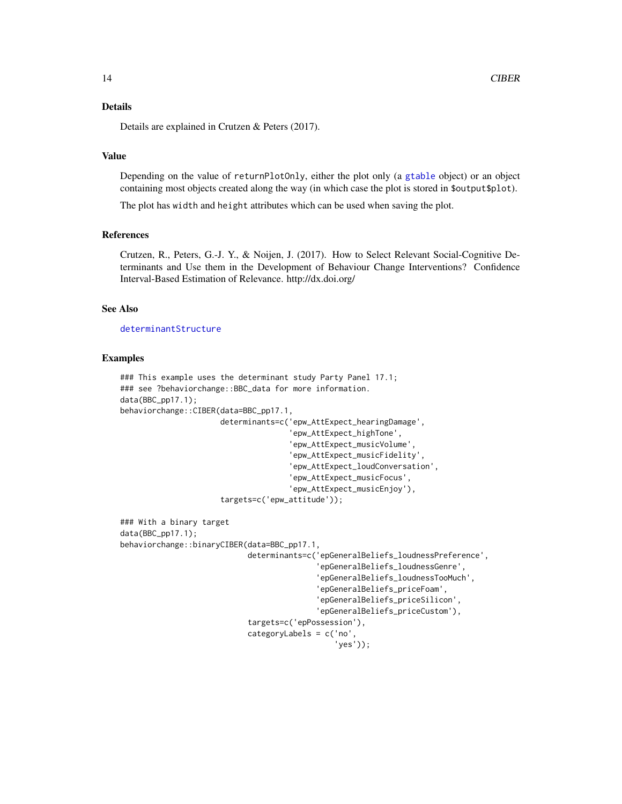# <span id="page-13-0"></span>Details

Details are explained in Crutzen & Peters (2017).

# Value

Depending on the value of returnPlotOnly, either the plot only (a [gtable](#page-0-0) object) or an object containing most objects created along the way (in which case the plot is stored in \$output\$plot).

The plot has width and height attributes which can be used when saving the plot.

#### References

Crutzen, R., Peters, G.-J. Y., & Noijen, J. (2017). How to Select Relevant Social-Cognitive Determinants and Use them in the Development of Behaviour Change Interventions? Confidence Interval-Based Estimation of Relevance. http://dx.doi.org/

## See Also

[determinantStructure](#page-24-1)

```
### This example uses the determinant study Party Panel 17.1;
### see ?behaviorchange::BBC_data for more information.
data(BBC_pp17.1);
behaviorchange::CIBER(data=BBC_pp17.1,
                      determinants=c('epw_AttExpect_hearingDamage',
                                      'epw_AttExpect_highTone',
                                      'epw_AttExpect_musicVolume',
                                      'epw_AttExpect_musicFidelity',
                                      'epw_AttExpect_loudConversation',
                                      'epw_AttExpect_musicFocus',
                                      'epw_AttExpect_musicEnjoy'),
                      targets=c('epw_attitude'));
### With a binary target
data(BBC_pp17.1);
behaviorchange::binaryCIBER(data=BBC_pp17.1,
                            determinants=c('epGeneralBeliefs_loudnessPreference',
                                            'epGeneralBeliefs_loudnessGenre',
                                            'epGeneralBeliefs_loudnessTooMuch',
                                            'epGeneralBeliefs_priceFoam',
                                            'epGeneralBeliefs_priceSilicon',
                                            'epGeneralBeliefs_priceCustom'),
                            targets=c('epPossession'),
                            categoryLabels = c('no',
                                                'yes'));
```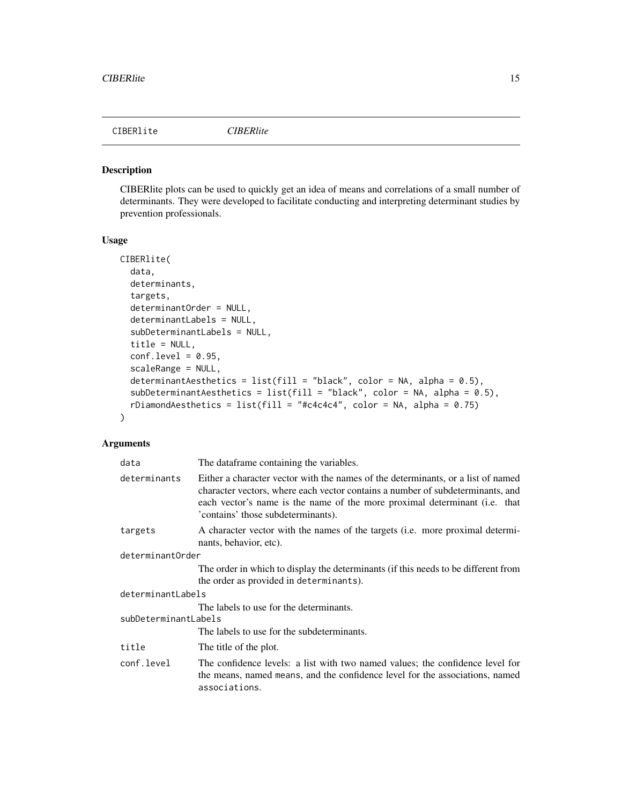<span id="page-14-0"></span>

#### Description

CIBERlite plots can be used to quickly get an idea of means and correlations of a small number of determinants. They were developed to facilitate conducting and interpreting determinant studies by prevention professionals.

#### Usage

```
CIBERlite(
  data,
  determinants,
  targets,
  determinantOrder = NULL,
  determinantLabels = NULL,
  subDeterminantLabels = NULL,
  title = NULL,
  conf. level = 0.95,scaleRange = NULL,
  determinantAesthetics = list(fill = "black", color = NA, alpha = 0.5),
  subDeterminantAesthetics = list(fill = "black", color = NA, alpha = 0.5),rDiamondAesthetics = list(fill = "#c4c4c4", color = NA, alpha = 0.75))
```

| data                 | The dataframe containing the variables.                                                                                                                                                                                                                                                |
|----------------------|----------------------------------------------------------------------------------------------------------------------------------------------------------------------------------------------------------------------------------------------------------------------------------------|
| determinants         | Either a character vector with the names of the determinants, or a list of named<br>character vectors, where each vector contains a number of subdeterminants, and<br>each vector's name is the name of the more proximal determinant (i.e. that<br>'contains' those subdeterminants). |
| targets              | A character vector with the names of the targets (i.e. more proximal determi-<br>nants, behavior, etc).                                                                                                                                                                                |
| determinantOrder     |                                                                                                                                                                                                                                                                                        |
|                      | The order in which to display the determinants (if this needs to be different from<br>the order as provided in determinants).                                                                                                                                                          |
| determinantLabels    |                                                                                                                                                                                                                                                                                        |
|                      | The labels to use for the determinants.                                                                                                                                                                                                                                                |
| subDeterminantLabels |                                                                                                                                                                                                                                                                                        |
|                      | The labels to use for the subdeterminants.                                                                                                                                                                                                                                             |
| title                | The title of the plot.                                                                                                                                                                                                                                                                 |
| conf.level           | The confidence levels: a list with two named values; the confidence level for<br>the means, named means, and the confidence level for the associations, named<br>associations.                                                                                                         |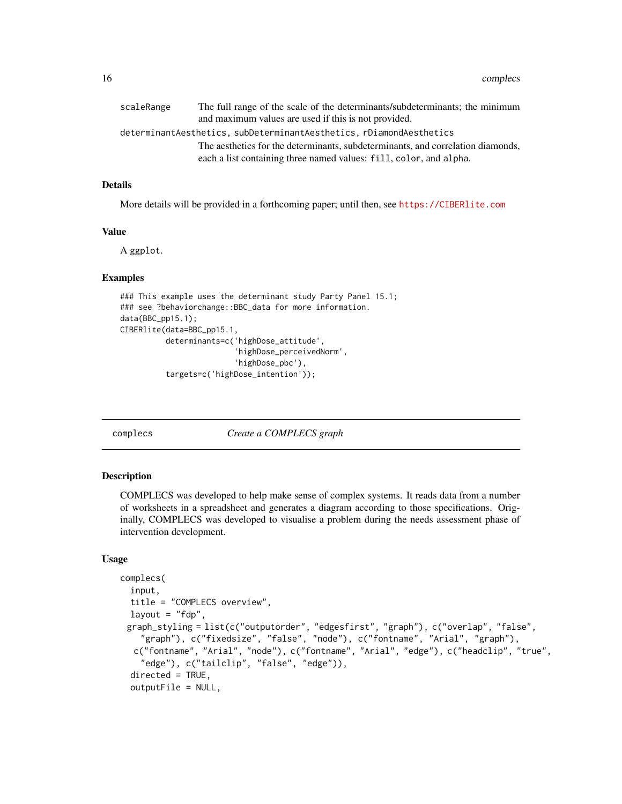<span id="page-15-0"></span>

| scaleRange | The full range of the scale of the determinants/subdeterminants; the minimum                                                                          |
|------------|-------------------------------------------------------------------------------------------------------------------------------------------------------|
|            | and maximum values are used if this is not provided.                                                                                                  |
|            | determinantAesthetics, subDeterminantAesthetics, rDiamondAesthetics                                                                                   |
|            | The aesthetics for the determinants, subdeterminants, and correlation diamonds,<br>each a list containing three named values: fill, color, and alpha. |
|            |                                                                                                                                                       |

# Details

More details will be provided in a forthcoming paper; until then, see <https://CIBERlite.com>

#### Value

A ggplot.

#### Examples

```
### This example uses the determinant study Party Panel 15.1;
### see ?behaviorchange::BBC_data for more information.
data(BBC_pp15.1);
CIBERlite(data=BBC_pp15.1,
          determinants=c('highDose_attitude',
                         'highDose_perceivedNorm',
                         'highDose_pbc'),
          targets=c('highDose_intention'));
```
<span id="page-15-1"></span>complecs *Create a COMPLECS graph*

#### Description

COMPLECS was developed to help make sense of complex systems. It reads data from a number of worksheets in a spreadsheet and generates a diagram according to those specifications. Originally, COMPLECS was developed to visualise a problem during the needs assessment phase of intervention development.

#### Usage

```
complecs(
  input,
  title = "COMPLECS overview",
  layout = "fdp",
 graph_styling = list(c("outputorder", "edgesfirst", "graph"), c("overlap", "false",
    "graph"), c("fixedsize", "false", "node"), c("fontname", "Arial", "graph"),
  c("fontname", "Arial", "node"), c("fontname", "Arial", "edge"), c("headclip", "true",
    "edge"), c("tailclip", "false", "edge")),
  directed = TRUE,outputFile = NULL,
```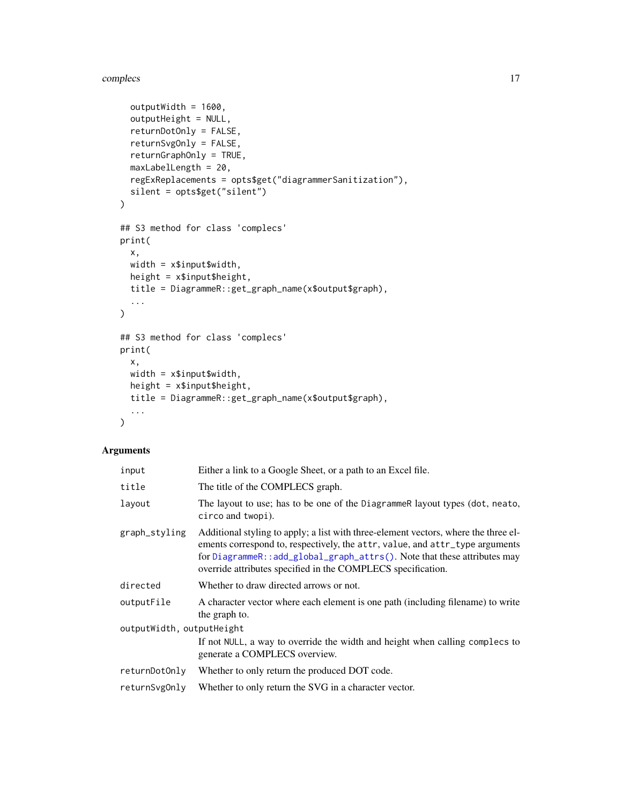#### <span id="page-16-0"></span>complecs and the complex of the complex state of the complex state of the complex state of the complex state of the complex state of the complex state of the complex state of the complex state of the complex state of the c

```
outputWidth = 1600,
  outputHeight = NULL,
  returnDotOnly = FALSE,
  returnSvgOnly = FALSE,
  returnGraphOnly = TRUE,
 maxLabelLength = 20,
  regExReplacements = opts$get("diagrammerSanitization"),
  silent = opts$get("silent")
\mathcal{L}## S3 method for class 'complecs'
print(
 x,
 width = x$input$width,
 height = x$input$height,
  title = DiagrammeR::get_graph_name(x$output$graph),
  ...
\mathcal{L}## S3 method for class 'complecs'
print(
 x,
 width = x$input$width,
 height = x$input$height,title = DiagrammeR::get_graph_name(x$output$graph),
  ...
\mathcal{L}
```

| input                     | Either a link to a Google Sheet, or a path to an Excel file.                                                                                                                                                                                                                                                    |
|---------------------------|-----------------------------------------------------------------------------------------------------------------------------------------------------------------------------------------------------------------------------------------------------------------------------------------------------------------|
| title                     | The title of the COMPLECS graph.                                                                                                                                                                                                                                                                                |
| layout                    | The layout to use; has to be one of the Diagrammer layout types (dot, neato,<br>circo and twopi).                                                                                                                                                                                                               |
| graph_styling             | Additional styling to apply; a list with three-element vectors, where the three el-<br>ements correspond to, respectively, the attr, value, and attr_type arguments<br>for DiagrammeR::add_global_graph_attrs(). Note that these attributes may<br>override attributes specified in the COMPLECS specification. |
| directed                  | Whether to draw directed arrows or not.                                                                                                                                                                                                                                                                         |
| outputFile                | A character vector where each element is one path (including filename) to write<br>the graph to.                                                                                                                                                                                                                |
| outputWidth, outputHeight |                                                                                                                                                                                                                                                                                                                 |
|                           | If not NULL, a way to override the width and height when calling complecs to<br>generate a COMPLECS overview.                                                                                                                                                                                                   |
| returnDotOnly             | Whether to only return the produced DOT code.                                                                                                                                                                                                                                                                   |
| returnSvg0nly             | Whether to only return the SVG in a character vector.                                                                                                                                                                                                                                                           |
|                           |                                                                                                                                                                                                                                                                                                                 |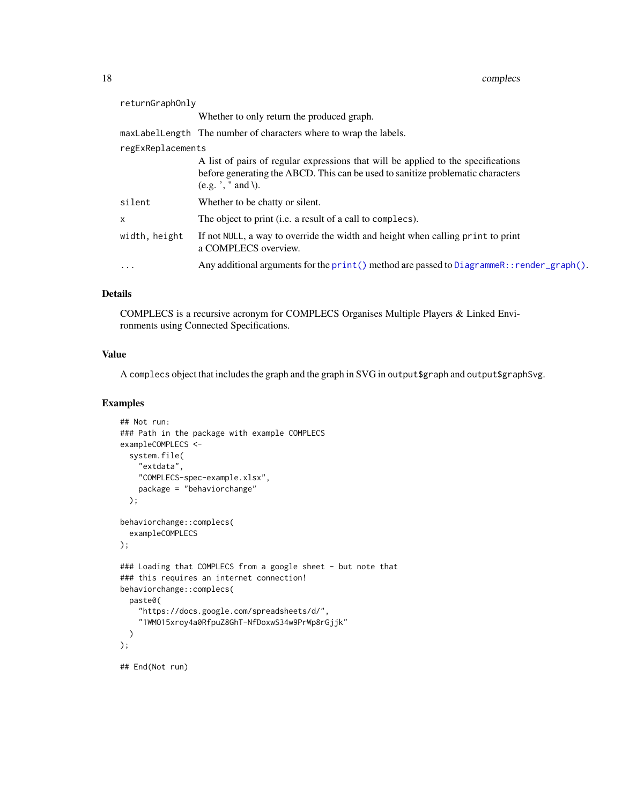<span id="page-17-0"></span>

| returnGraphOnly   |                                                                                                                                                                                                     |
|-------------------|-----------------------------------------------------------------------------------------------------------------------------------------------------------------------------------------------------|
|                   | Whether to only return the produced graph.                                                                                                                                                          |
|                   | maxLabelLength The number of characters where to wrap the labels.                                                                                                                                   |
| regExReplacements |                                                                                                                                                                                                     |
|                   | A list of pairs of regular expressions that will be applied to the specifications<br>before generating the ABCD. This can be used to sanitize problematic characters<br>$(e.g.$ $\cdot$ , " and \). |
| silent            | Whether to be chatty or silent.                                                                                                                                                                     |
| X                 | The object to print (i.e. a result of a call to complecs).                                                                                                                                          |
| width, height     | If not NULL, a way to override the width and height when calling print to print<br>a COMPLECS overview.                                                                                             |
| $\ddotsc$         | Any additional arguments for the $print()$ method are passed to DiagrammeR:: render_graph().                                                                                                        |
|                   |                                                                                                                                                                                                     |

# Details

COMPLECS is a recursive acronym for COMPLECS Organises Multiple Players & Linked Environments using Connected Specifications.

# Value

A complecs object that includes the graph and the graph in SVG in output\$graph and output\$graphSvg.

```
## Not run:
### Path in the package with example COMPLECS
exampleCOMPLECS <-
  system.file(
    "extdata",
    "COMPLECS-spec-example.xlsx",
   package = "behaviorchange"
  );
behaviorchange::complecs(
  exampleCOMPLECS
);
### Loading that COMPLECS from a google sheet - but note that
### this requires an internet connection!
behaviorchange::complecs(
  paste0(
    "https://docs.google.com/spreadsheets/d/",
    "1WMO15xroy4a0RfpuZ8GhT-NfDoxwS34w9PrWp8rGjjk"
 )
);
## End(Not run)
```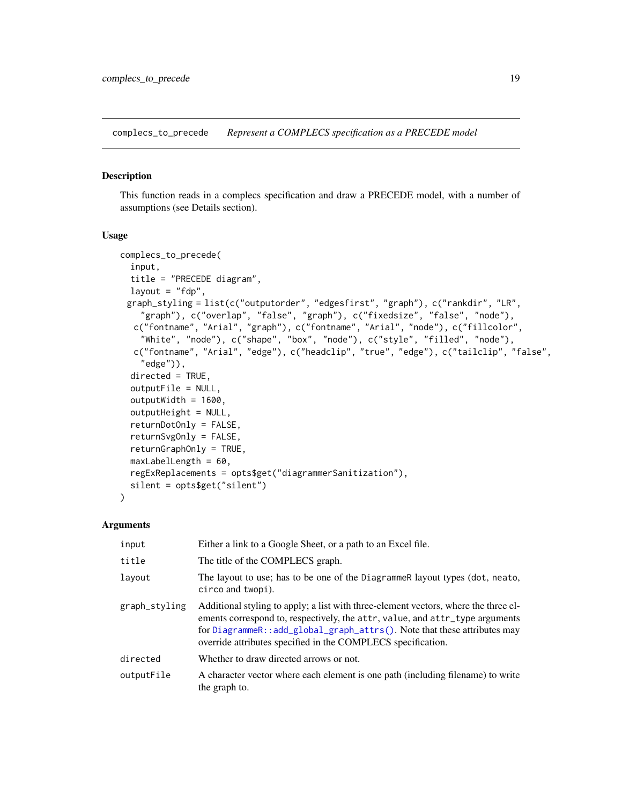<span id="page-18-0"></span>complecs\_to\_precede *Represent a COMPLECS specification as a PRECEDE model*

#### Description

This function reads in a complecs specification and draw a PRECEDE model, with a number of assumptions (see Details section).

#### Usage

```
complecs_to_precede(
  input,
  title = "PRECEDE diagram",
  layout = "fdp",
 graph_styling = list(c("outputorder", "edgesfirst", "graph"), c("rankdir", "LR",
    "graph"), c("overlap", "false", "graph"), c("fixedsize", "false", "node"),
  c("fontname", "Arial", "graph"), c("fontname", "Arial", "node"), c("fillcolor",
    "White", "node"), c("shape", "box", "node"), c("style", "filled", "node"),
  c("fontname", "Arial", "edge"), c("headclip", "true", "edge"), c("tailclip", "false",
    "edge")),
  directed = TRUE,
  outputFile = NULL,
  outputWidth = 1600,
  outputHeight = NULL,
  returnDotOnly = FALSE,
  returnSvgOnly = FALSE,
  returnGraphOnly = TRUE,
  maxLabelLength = 60,
  regExReplacements = opts$get("diagrammerSanitization"),
  silent = opts$get("silent")
)
```

| input         | Either a link to a Google Sheet, or a path to an Excel file.                                                                                                                                                                                                                                                    |
|---------------|-----------------------------------------------------------------------------------------------------------------------------------------------------------------------------------------------------------------------------------------------------------------------------------------------------------------|
| title         | The title of the COMPLECS graph.                                                                                                                                                                                                                                                                                |
| layout        | The layout to use; has to be one of the Diagrammer layout types (dot, neato,<br>circo and twopi).                                                                                                                                                                                                               |
| graph_styling | Additional styling to apply; a list with three-element vectors, where the three el-<br>ements correspond to, respectively, the attr, value, and attr_type arguments<br>for DiagrammeR::add_global_graph_attrs(). Note that these attributes may<br>override attributes specified in the COMPLECS specification. |
| directed      | Whether to draw directed arrows or not.                                                                                                                                                                                                                                                                         |
| outputFile    | A character vector where each element is one path (including filename) to write<br>the graph to.                                                                                                                                                                                                                |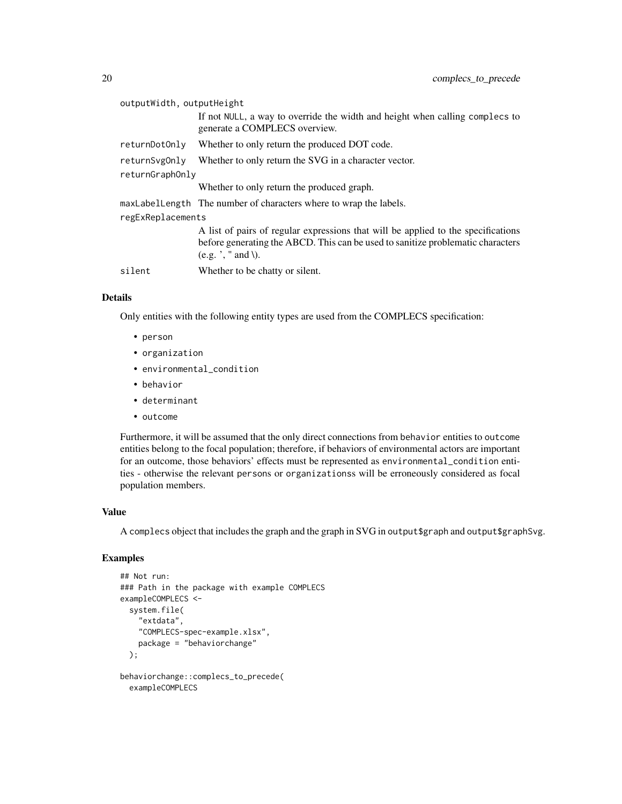| outputWidth, outputHeight |                                                                                                                                                                                              |  |
|---------------------------|----------------------------------------------------------------------------------------------------------------------------------------------------------------------------------------------|--|
|                           | If not NULL, a way to override the width and height when calling complecs to<br>generate a COMPLECS overview.                                                                                |  |
| returnDotOnly             | Whether to only return the produced DOT code.                                                                                                                                                |  |
| returnSvg0nly             | Whether to only return the SVG in a character vector.                                                                                                                                        |  |
| returnGraphOnly           |                                                                                                                                                                                              |  |
|                           | Whether to only return the produced graph.                                                                                                                                                   |  |
|                           | maxLabelLength The number of characters where to wrap the labels.                                                                                                                            |  |
| regExReplacements         |                                                                                                                                                                                              |  |
|                           | A list of pairs of regular expressions that will be applied to the specifications<br>before generating the ABCD. This can be used to sanitize problematic characters<br>$(e.g.$ ', " and \). |  |
| silent                    | Whether to be chatty or silent.                                                                                                                                                              |  |

# Details

Only entities with the following entity types are used from the COMPLECS specification:

- person
- organization
- environmental\_condition
- behavior
- determinant
- outcome

Furthermore, it will be assumed that the only direct connections from behavior entities to outcome entities belong to the focal population; therefore, if behaviors of environmental actors are important for an outcome, those behaviors' effects must be represented as environmental\_condition entities - otherwise the relevant persons or organizationss will be erroneously considered as focal population members.

#### Value

A complecs object that includes the graph and the graph in SVG in output\$graph and output\$graphSvg.

```
## Not run:
### Path in the package with example COMPLECS
exampleCOMPLECS <-
 system.file(
    "extdata",
    "COMPLECS-spec-example.xlsx",
   package = "behaviorchange"
 );
behaviorchange::complecs_to_precede(
 exampleCOMPLECS
```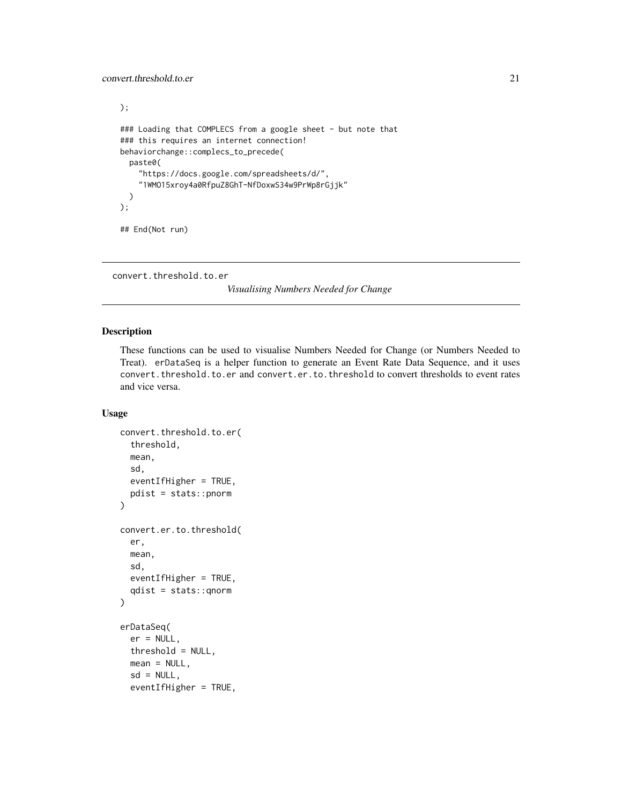```
);
### Loading that COMPLECS from a google sheet - but note that
### this requires an internet connection!
behaviorchange::complecs_to_precede(
  paste0(
    "https://docs.google.com/spreadsheets/d/",
    "1WMO15xroy4a0RfpuZ8GhT-NfDoxwS34w9PrWp8rGjjk"
  \lambda);
## End(Not run)
```

```
convert.threshold.to.er
```
*Visualising Numbers Needed for Change*

# Description

These functions can be used to visualise Numbers Needed for Change (or Numbers Needed to Treat). erDataSeq is a helper function to generate an Event Rate Data Sequence, and it uses convert.threshold.to.er and convert.er.to.threshold to convert thresholds to event rates and vice versa.

# Usage

```
convert.threshold.to.er(
  threshold,
  mean,
  sd,
  eventIfHigher = TRUE,
  pdist = stats::pnorm
)
convert.er.to.threshold(
  er,
  mean,
  sd,
  eventIfHigher = TRUE,
  qdist = stats::qnorm
)
erDataSeq(
  er = NULL,threshold = NULL,
  mean = NULL,sd = NULL,eventIfHigher = TRUE,
```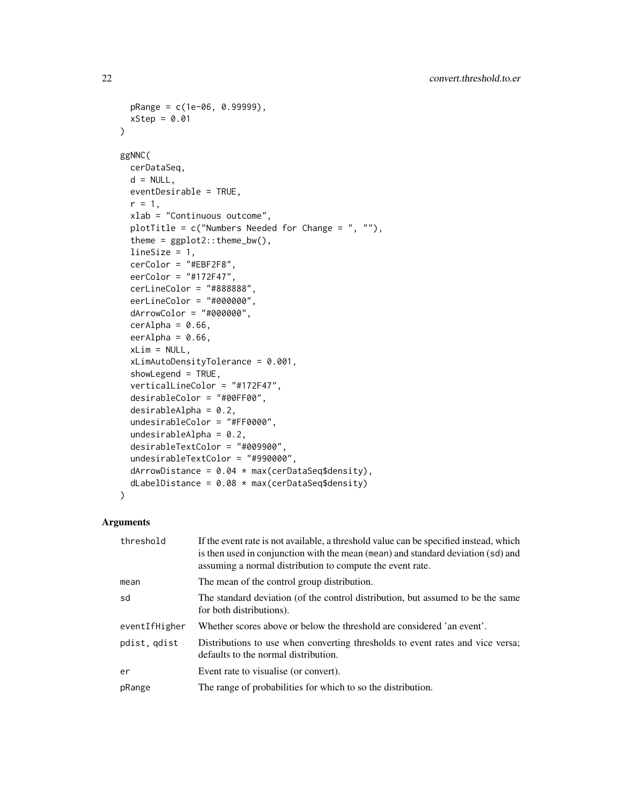```
pRange = c(1e-06, 0.99999),
 xStep = 0.01\lambdaggNNC(
 cerDataSeq,
 d = NULL,eventDesirable = TRUE,
  r = 1,
  xlab = "Continuous outcome",
 plotTitle = c("Numbers Needed for Change = ", ""),
  theme = ggplot2::theme_bw(),lineSize = 1,
  cerColor = "#EBF2F8",
  eerColor = "#172F47",
  cerLineColor = "#888888",
  eerLineColor = "#000000",
  dArrowColor = "#000000",
  cerAlpha = 0.66,eerAlpha = 0.66,
  xLim = NULL,xLimAutoDensityTolerance = 0.001,
  showLegend = TRUE,
  verticalLineColor = "#172F47",
  desirableColor = "#00FF00",
  desirableAlpha = 0.2,undesirableColor = "#FF0000",
  undesirableAlpha = 0.2,
  desirableTextColor = "#009900",
  undesirableTextColor = "#990000",
  dArrowDistance = 0.04 \times max(cerDatabaseq$density),
  dLabelDistance = 0.08 \times max(cerDataSeq$density)\mathcal{L}
```

| threshold     | If the event rate is not available, a threshold value can be specified instead, which<br>is then used in conjunction with the mean (mean) and standard deviation (sd) and<br>assuming a normal distribution to compute the event rate. |
|---------------|----------------------------------------------------------------------------------------------------------------------------------------------------------------------------------------------------------------------------------------|
| mean          | The mean of the control group distribution.                                                                                                                                                                                            |
| sd            | The standard deviation (of the control distribution, but assumed to be the same<br>for both distributions).                                                                                                                            |
| eventIfHigher | Whether scores above or below the threshold are considered 'an event'.                                                                                                                                                                 |
| pdist, gdist  | Distributions to use when converting thresholds to event rates and vice versa;<br>defaults to the normal distribution.                                                                                                                 |
| er            | Event rate to visualise (or convert).                                                                                                                                                                                                  |
| pRange        | The range of probabilities for which to so the distribution.                                                                                                                                                                           |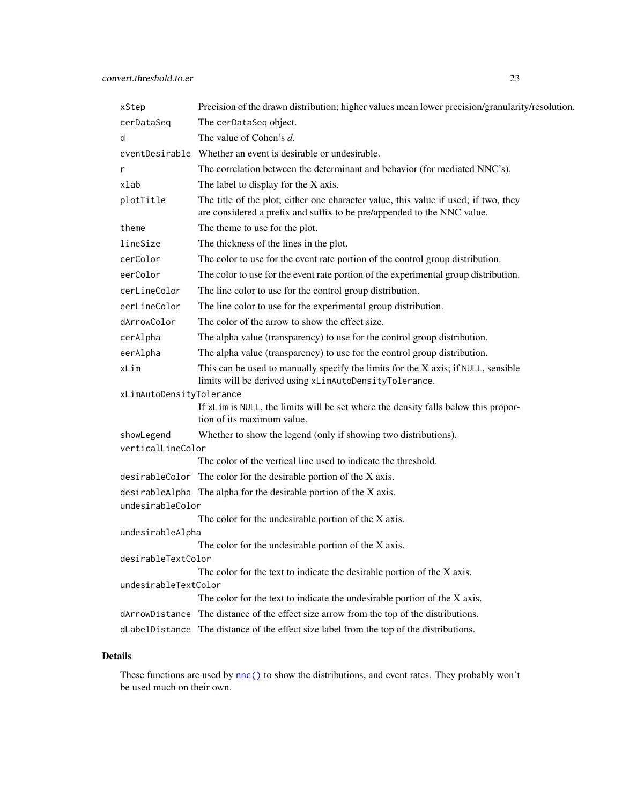<span id="page-22-0"></span>

| xStep                                                             | Precision of the drawn distribution; higher values mean lower precision/granularity/resolution.                                                                |  |
|-------------------------------------------------------------------|----------------------------------------------------------------------------------------------------------------------------------------------------------------|--|
| cerDataSeq                                                        | The cerDataSeq object.                                                                                                                                         |  |
| d                                                                 | The value of Cohen's d.                                                                                                                                        |  |
|                                                                   | eventDesirable Whether an event is desirable or undesirable.                                                                                                   |  |
| r                                                                 | The correlation between the determinant and behavior (for mediated NNC's).                                                                                     |  |
| xlab                                                              | The label to display for the X axis.                                                                                                                           |  |
| plotTitle                                                         | The title of the plot; either one character value, this value if used; if two, they<br>are considered a prefix and suffix to be pre/appended to the NNC value. |  |
| theme                                                             | The theme to use for the plot.                                                                                                                                 |  |
| lineSize                                                          | The thickness of the lines in the plot.                                                                                                                        |  |
| cerColor                                                          | The color to use for the event rate portion of the control group distribution.                                                                                 |  |
| eerColor                                                          | The color to use for the event rate portion of the experimental group distribution.                                                                            |  |
| cerLineColor                                                      | The line color to use for the control group distribution.                                                                                                      |  |
| eerLineColor                                                      | The line color to use for the experimental group distribution.                                                                                                 |  |
| dArrowColor                                                       | The color of the arrow to show the effect size.                                                                                                                |  |
| cerAlpha                                                          | The alpha value (transparency) to use for the control group distribution.                                                                                      |  |
| eerAlpha                                                          | The alpha value (transparency) to use for the control group distribution.                                                                                      |  |
| xLim                                                              | This can be used to manually specify the limits for the X axis; if NULL, sensible<br>limits will be derived using xLimAutoDensityTolerance.                    |  |
| xLimAutoDensityTolerance                                          |                                                                                                                                                                |  |
|                                                                   | If xLim is NULL, the limits will be set where the density falls below this propor-<br>tion of its maximum value.                                               |  |
| showLegend                                                        | Whether to show the legend (only if showing two distributions).                                                                                                |  |
| verticalLineColor                                                 |                                                                                                                                                                |  |
|                                                                   | The color of the vertical line used to indicate the threshold.                                                                                                 |  |
|                                                                   | desirableColor The color for the desirable portion of the X axis.                                                                                              |  |
| desirableAlpha The alpha for the desirable portion of the X axis. |                                                                                                                                                                |  |
| undesirableColor                                                  | The color for the undesirable portion of the X axis.                                                                                                           |  |
| undesirableAlpha                                                  |                                                                                                                                                                |  |
|                                                                   | The color for the undesirable portion of the X axis.                                                                                                           |  |
| desirableTextColor                                                |                                                                                                                                                                |  |
|                                                                   | The color for the text to indicate the desirable portion of the X axis.                                                                                        |  |
| undesirableTextColor                                              |                                                                                                                                                                |  |
|                                                                   | The color for the text to indicate the undesirable portion of the X axis.                                                                                      |  |
|                                                                   | dArrowDistance The distance of the effect size arrow from the top of the distributions.                                                                        |  |
|                                                                   | dLabelDistance The distance of the effect size label from the top of the distributions.                                                                        |  |

# Details

These functions are used by [nnc\(\)](#page-37-1) to show the distributions, and event rates. They probably won't be used much on their own.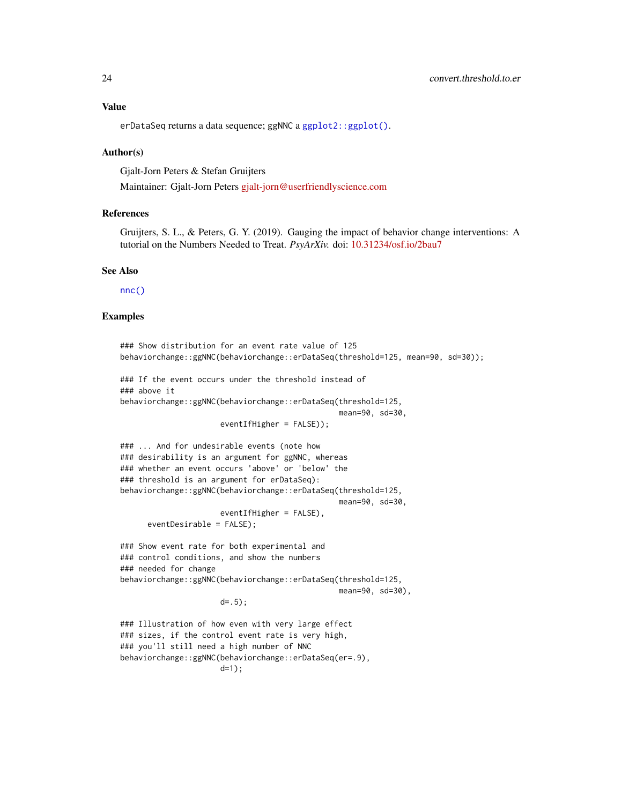#### <span id="page-23-0"></span>Value

erDataSeq returns a data sequence; ggNNC a ggplot2:: ggplot().

#### Author(s)

Gjalt-Jorn Peters & Stefan Gruijters

Maintainer: Gjalt-Jorn Peters [gjalt-jorn@userfriendlyscience.com](mailto:gjalt-jorn@userfriendlyscience.com)

#### References

Gruijters, S. L., & Peters, G. Y. (2019). Gauging the impact of behavior change interventions: A tutorial on the Numbers Needed to Treat. *PsyArXiv.* doi: [10.31234/osf.io/2bau7](https://doi.org/10.31234/osf.io/2bau7)

#### See Also

[nnc\(\)](#page-37-1)

```
### Show distribution for an event rate value of 125
behaviorchange::ggNNC(behaviorchange::erDataSeq(threshold=125, mean=90, sd=30));
### If the event occurs under the threshold instead of
### above it
behaviorchange::ggNNC(behaviorchange::erDataSeq(threshold=125,
                                                mean=90, sd=30,
                      eventIfHigher = FALSE));
### ... And for undesirable events (note how
### desirability is an argument for ggNNC, whereas
### whether an event occurs 'above' or 'below' the
### threshold is an argument for erDataSeq):
behaviorchange::ggNNC(behaviorchange::erDataSeq(threshold=125,
                                                mean=90, sd=30,
                      eventIfHigher = FALSE),
      eventDesirable = FALSE);
### Show event rate for both experimental and
### control conditions, and show the numbers
### needed for change
behaviorchange::ggNNC(behaviorchange::erDataSeq(threshold=125,
                                                mean=90, sd=30),
                      d=. 5);
### Illustration of how even with very large effect
### sizes, if the control event rate is very high,
### you'll still need a high number of NNC
behaviorchange::ggNNC(behaviorchange::erDataSeq(er=.9),
                      d=1):
```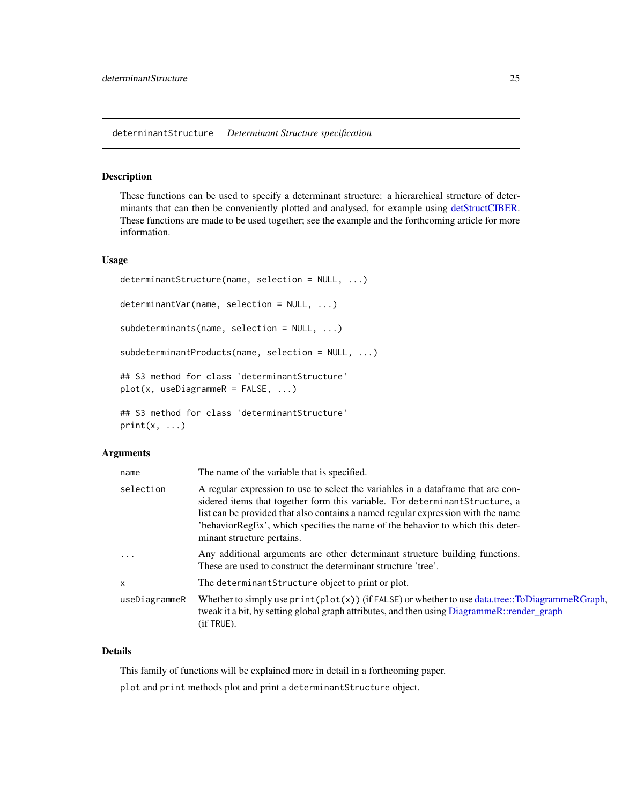<span id="page-24-1"></span><span id="page-24-0"></span>determinantStructure *Determinant Structure specification*

#### <span id="page-24-2"></span>Description

These functions can be used to specify a determinant structure: a hierarchical structure of determinants that can then be conveniently plotted and analysed, for example using [detStructCIBER.](#page-8-2) These functions are made to be used together; see the example and the forthcoming article for more information.

#### Usage

```
determinantStructure(name, selection = NULL, ...)
determinantVar(name, selection = NULL, ...)
subdeterminants(name, selection = NULL, ...)
subdeterminantProducts(name, selection = NULL, ...)
## S3 method for class 'determinantStructure'
plot(x, useDiagrammeR = FALSE, ...)
## S3 method for class 'determinantStructure'
print(x, \ldots)
```
#### Arguments

| name          | The name of the variable that is specified.                                                                                                                                                                                                                                                                                                                          |
|---------------|----------------------------------------------------------------------------------------------------------------------------------------------------------------------------------------------------------------------------------------------------------------------------------------------------------------------------------------------------------------------|
| selection     | A regular expression to use to select the variables in a dataframe that are con-<br>sidered items that together form this variable. For determinant Structure, a<br>list can be provided that also contains a named regular expression with the name<br>'behaviorRegEx', which specifies the name of the behavior to which this deter-<br>minant structure pertains. |
| $\cdot$       | Any additional arguments are other determinant structure building functions.<br>These are used to construct the determinant structure 'tree'.                                                                                                                                                                                                                        |
| $\times$      | The determinant Structure object to print or plot.                                                                                                                                                                                                                                                                                                                   |
| useDiagrammeR | Whether to simply use $print(plot(x))$ (if FALSE) or whether to use data.tree::ToDiagrammeRGraph,<br>tweak it a bit, by setting global graph attributes, and then using DiagrammeR::render_graph<br>$(if$ TRUE).                                                                                                                                                     |

#### Details

This family of functions will be explained more in detail in a forthcoming paper.

plot and print methods plot and print a determinantStructure object.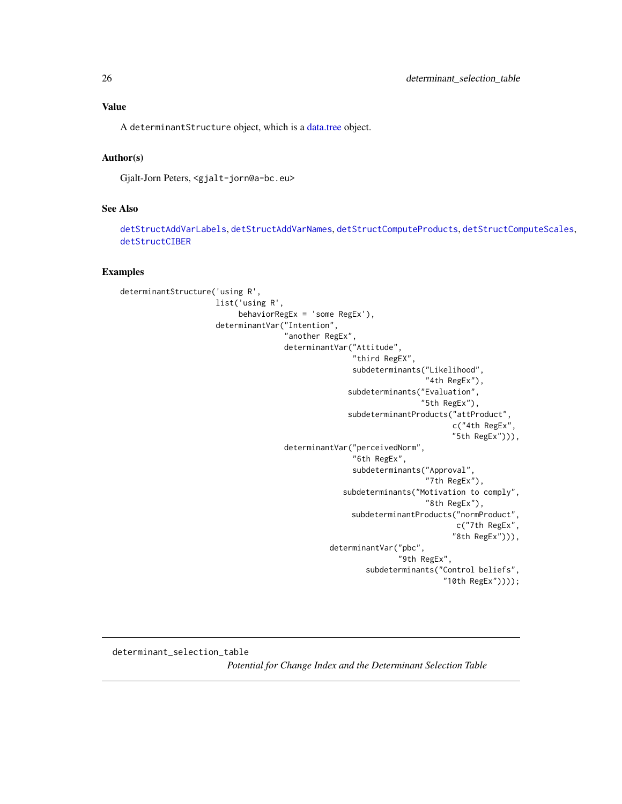# <span id="page-25-0"></span>Value

A determinantStructure object, which is a [data.tree](#page-0-0) object.

#### Author(s)

Gjalt-Jorn Peters, <gjalt-jorn@a-bc.eu>

#### See Also

[detStructAddVarLabels](#page-32-1), [detStructAddVarNames](#page-32-2), [detStructComputeProducts](#page-32-2), [detStructComputeScales](#page-32-2), [detStructCIBER](#page-8-2)

#### Examples

```
determinantStructure('using R',
                     list('using R',
                          behaviorRegEx = 'some RegEx'),
                     determinantVar("Intention",
                                     "another RegEx",
                                     determinantVar("Attitude",
                                                    "third RegEX",
                                                    subdeterminants("Likelihood",
                                                                     "4th RegEx"),
                                                   subdeterminants("Evaluation",
                                                                    "5th RegEx"),
                                                   subdeterminantProducts("attProduct",
                                                                           c("4th RegEx",
                                                                           "5th RegEx"))),
                                     determinantVar("perceivedNorm",
                                                    "6th RegEx",
                                                    subdeterminants("Approval",
                                                                     "7th RegEx"),
                                                  subdeterminants("Motivation to comply",
                                                                     "8th RegEx"),
                                                    subdeterminantProducts("normProduct",
                                                                           c("7th RegEx",
                                                                           "8th RegEx"))),
                                               determinantVar("pbc",
                                                               "9th RegEx",
                                                       subdeterminants("Control beliefs",
                                                                         "10th RegEx"))));
```
determinant\_selection\_table *Potential for Change Index and the Determinant Selection Table*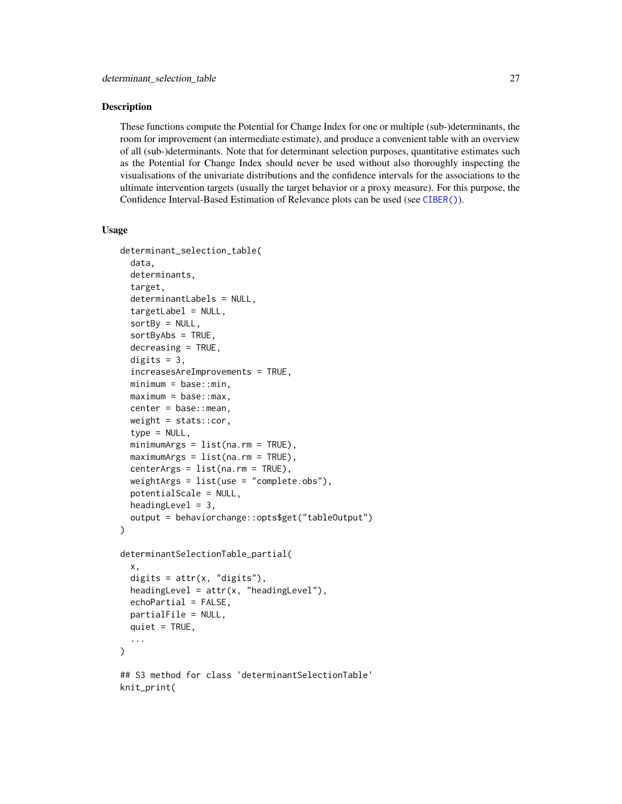#### <span id="page-26-0"></span>Description

These functions compute the Potential for Change Index for one or multiple (sub-)determinants, the room for improvement (an intermediate estimate), and produce a convenient table with an overview of all (sub-)determinants. Note that for determinant selection purposes, quantitative estimates such as the Potential for Change Index should never be used without also thoroughly inspecting the visualisations of the univariate distributions and the confidence intervals for the associations to the ultimate intervention targets (usually the target behavior or a proxy measure). For this purpose, the Confidence Interval-Based Estimation of Relevance plots can be used (see [CIBER\(\)](#page-8-1)).

#### Usage

```
determinant_selection_table(
  data,
  determinants,
  target,
  determinantLabels = NULL,
  targetLabel = NULL,
  sortBy = NULL,sortByAbs = TRUE,
  decreasing = TRUE,
  digits = 3,
  increasesAreImprovements = TRUE,
  minimum = base::min,
  maximum = base::max,center = base::mean,
  weight = stats::cor,
  type = NULL,minimumArgs = list(na.rm = TRUE),maximumArgs = list(na.rm = TRUE),centerArgs = list(na.rm = TRUE),
  weightArgs = list(use = "complete.obs"),
  potentialScale = NULL,
  heading Level = 3,
  output = behaviorchange::opts$get("tableOutput")
)
determinantSelectionTable_partial(
  x,
  digits = attr(x, "digits"),headingLevel = attr(x, "headingLevel"),echoPartial = FALSE,partialFile = NULL,
  quiet = TRUE,
  ...
\lambda## S3 method for class 'determinantSelectionTable'
knit_print(
```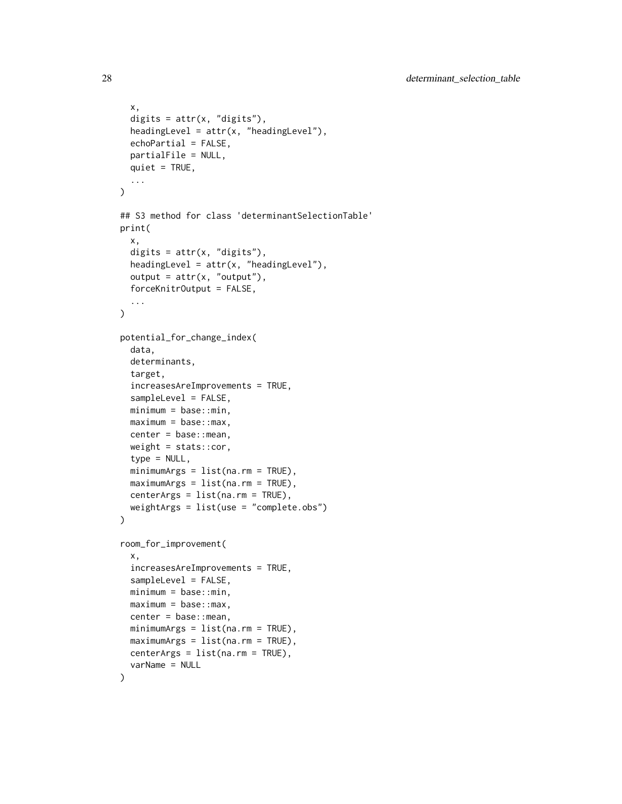```
x,
  digits = attr(x, "digits"),headingLevel = attr(x, "headingLevel"),echoPartial = FALSE,
 partialFile = NULL,
 quiet = TRUE,
  ...
)
## S3 method for class 'determinantSelectionTable'
print(
 x,
 digits = attr(x, "digits"),headingLevel = attr(x, "headingLevel"),output = attr(x, "output"),forceKnitrOutput = FALSE,
  ...
\mathcal{L}potential_for_change_index(
  data,
  determinants,
  target,
  increasesAreImprovements = TRUE,
  sampleLevel = FALSE,
 minimum = base::min,maximum = base::max,center = base::mean,
 weight = stats::cor,type = NULL,
 minimumArgs = list(na.rm = TRUE),maximumArgs = list(na.rm = TRUE),centerArgs = list(na.rm = TRUE),
 weightArgs = list(use = "complete.obs")
)
room_for_improvement(
  x,
  increasesAreImprovements = TRUE,
  sampleLevel = FALSE,
 minimum = base::min,
 maximum = base::max,center = base::mean,
 minimumArgs = list(na.rm = TRUE),maximumArgs = list(na.rm = TRUE),centerArgs = list(na.rm = TRUE),
  varName = NULL
)
```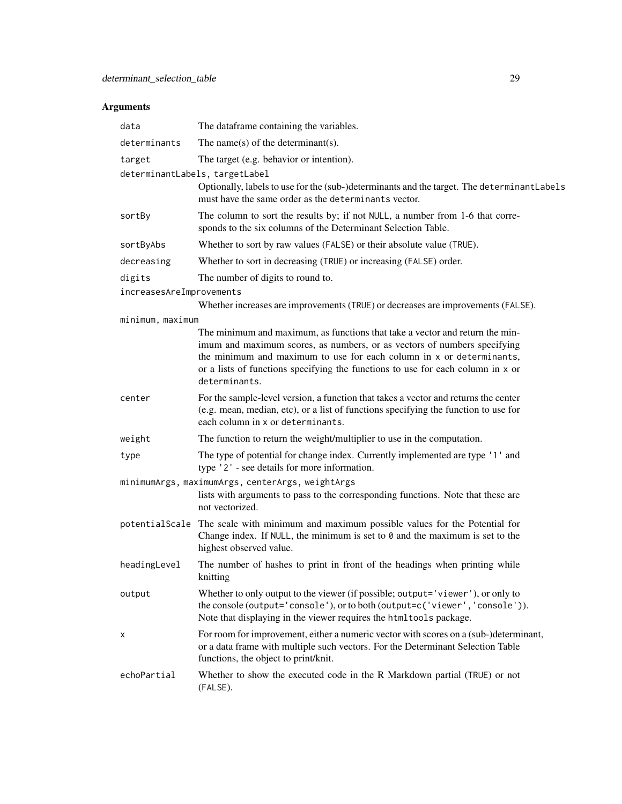| data                           | The dataframe containing the variables.                                                                                                                                                                                              |  |
|--------------------------------|--------------------------------------------------------------------------------------------------------------------------------------------------------------------------------------------------------------------------------------|--|
| determinants                   | The name(s) of the determinant(s).                                                                                                                                                                                                   |  |
| target                         | The target (e.g. behavior or intention).                                                                                                                                                                                             |  |
| determinantLabels, targetLabel |                                                                                                                                                                                                                                      |  |
|                                | Optionally, labels to use for the (sub-)determinants and the target. The determinantLabels<br>must have the same order as the determinants vector.                                                                                   |  |
| sortBy                         | The column to sort the results by; if not NULL, a number from 1-6 that corre-<br>sponds to the six columns of the Determinant Selection Table.                                                                                       |  |
| sortByAbs                      | Whether to sort by raw values (FALSE) or their absolute value (TRUE).                                                                                                                                                                |  |
| decreasing                     | Whether to sort in decreasing (TRUE) or increasing (FALSE) order.                                                                                                                                                                    |  |
| digits                         | The number of digits to round to.                                                                                                                                                                                                    |  |
| increasesAreImprovements       |                                                                                                                                                                                                                                      |  |
|                                | Whether increases are improvements (TRUE) or decreases are improvements (FALSE).                                                                                                                                                     |  |
| minimum, maximum               |                                                                                                                                                                                                                                      |  |
|                                | The minimum and maximum, as functions that take a vector and return the min-<br>imum and maximum scores, as numbers, or as vectors of numbers specifying                                                                             |  |
|                                | the minimum and maximum to use for each column in x or determinants,                                                                                                                                                                 |  |
|                                | or a lists of functions specifying the functions to use for each column in x or                                                                                                                                                      |  |
|                                | determinants.                                                                                                                                                                                                                        |  |
| center                         | For the sample-level version, a function that takes a vector and returns the center<br>(e.g. mean, median, etc), or a list of functions specifying the function to use for<br>each column in x or determinants.                      |  |
| weight                         | The function to return the weight/multiplier to use in the computation.                                                                                                                                                              |  |
| type                           | The type of potential for change index. Currently implemented are type '1' and<br>type '2' - see details for more information.                                                                                                       |  |
|                                | minimumArgs, maximumArgs, centerArgs, weightArgs                                                                                                                                                                                     |  |
|                                | lists with arguments to pass to the corresponding functions. Note that these are<br>not vectorized.                                                                                                                                  |  |
|                                | potentialScale The scale with minimum and maximum possible values for the Potential for                                                                                                                                              |  |
|                                | Change index. If NULL, the minimum is set to $\theta$ and the maximum is set to the<br>highest observed value.                                                                                                                       |  |
| headingLevel                   | The number of hashes to print in front of the headings when printing while<br>knitting                                                                                                                                               |  |
| output                         | Whether to only output to the viewer (if possible; output='viewer'), or only to<br>the console (output='console'), or to both (output=c('viewer', 'console')).<br>Note that displaying in the viewer requires the htmltools package. |  |
| х                              | For room for improvement, either a numeric vector with scores on a (sub-)determinant,<br>or a data frame with multiple such vectors. For the Determinant Selection Table<br>functions, the object to print/knit.                     |  |
| echoPartial                    | Whether to show the executed code in the R Markdown partial (TRUE) or not<br>(FALSE).                                                                                                                                                |  |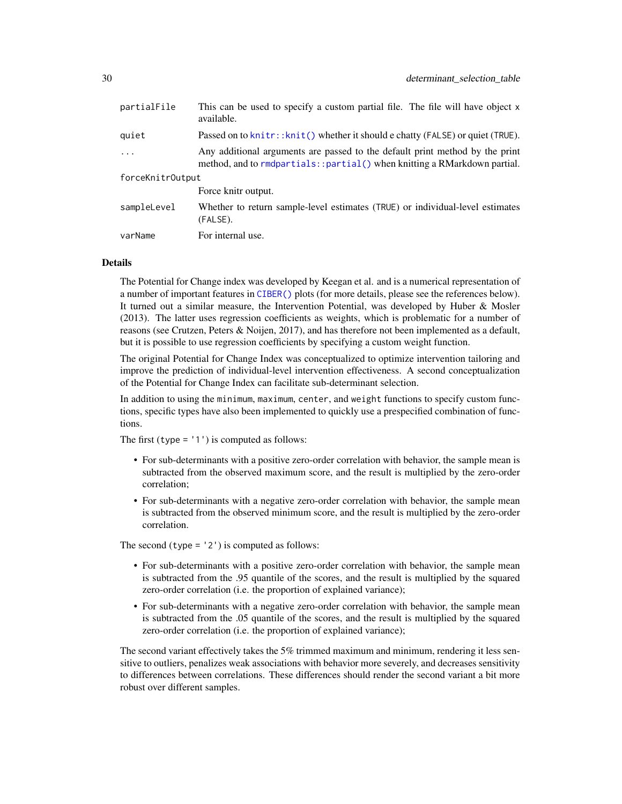<span id="page-29-0"></span>

| partialFile      | This can be used to specify a custom partial file. The file will have object x<br>available.                                                              |  |
|------------------|-----------------------------------------------------------------------------------------------------------------------------------------------------------|--|
| quiet            | Passed on to knitr:: knit() whether it should e chatty (FALSE) or quiet (TRUE).                                                                           |  |
| $\ddots$ .       | Any additional arguments are passed to the default print method by the print<br>method, and to rmdpartials:: partial() when knitting a RMarkdown partial. |  |
| forceKnitrOutput |                                                                                                                                                           |  |
|                  | Force knitr output.                                                                                                                                       |  |
| sampleLevel      | Whether to return sample-level estimates (TRUE) or individual-level estimates<br>(FALSE).                                                                 |  |
| varName          | For internal use.                                                                                                                                         |  |

#### Details

The Potential for Change index was developed by Keegan et al. and is a numerical representation of a number of important features in [CIBER\(\)](#page-8-1) plots (for more details, please see the references below). It turned out a similar measure, the Intervention Potential, was developed by Huber & Mosler (2013). The latter uses regression coefficients as weights, which is problematic for a number of reasons (see Crutzen, Peters & Noijen, 2017), and has therefore not been implemented as a default, but it is possible to use regression coefficients by specifying a custom weight function.

The original Potential for Change Index was conceptualized to optimize intervention tailoring and improve the prediction of individual-level intervention effectiveness. A second conceptualization of the Potential for Change Index can facilitate sub-determinant selection.

In addition to using the minimum, maximum, center, and weight functions to specify custom functions, specific types have also been implemented to quickly use a prespecified combination of functions.

The first (type  $=$  '1') is computed as follows:

- For sub-determinants with a positive zero-order correlation with behavior, the sample mean is subtracted from the observed maximum score, and the result is multiplied by the zero-order correlation;
- For sub-determinants with a negative zero-order correlation with behavior, the sample mean is subtracted from the observed minimum score, and the result is multiplied by the zero-order correlation.

The second  $(type = '2')$  is computed as follows:

- For sub-determinants with a positive zero-order correlation with behavior, the sample mean is subtracted from the .95 quantile of the scores, and the result is multiplied by the squared zero-order correlation (i.e. the proportion of explained variance);
- For sub-determinants with a negative zero-order correlation with behavior, the sample mean is subtracted from the .05 quantile of the scores, and the result is multiplied by the squared zero-order correlation (i.e. the proportion of explained variance);

The second variant effectively takes the 5% trimmed maximum and minimum, rendering it less sensitive to outliers, penalizes weak associations with behavior more severely, and decreases sensitivity to differences between correlations. These differences should render the second variant a bit more robust over different samples.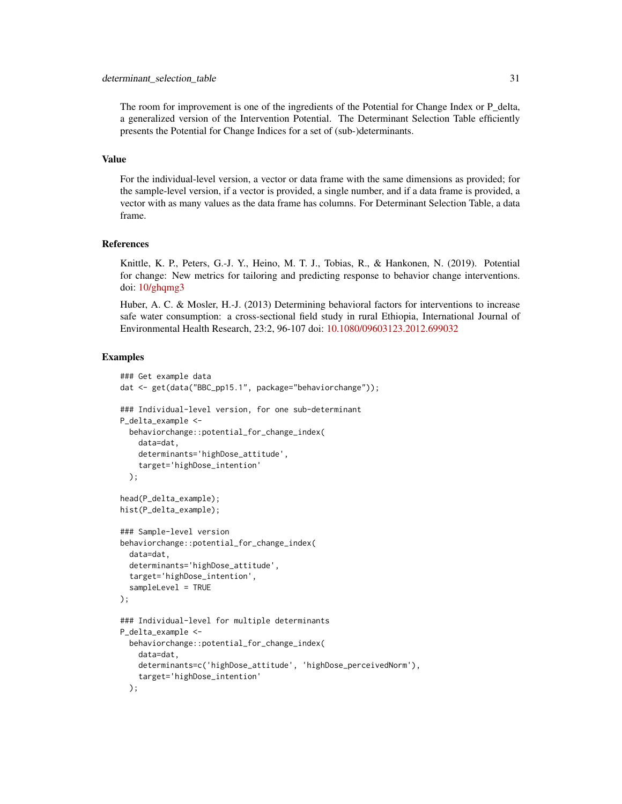#### determinant\_selection\_table 31

The room for improvement is one of the ingredients of the Potential for Change Index or P\_delta, a generalized version of the Intervention Potential. The Determinant Selection Table efficiently presents the Potential for Change Indices for a set of (sub-)determinants.

#### Value

For the individual-level version, a vector or data frame with the same dimensions as provided; for the sample-level version, if a vector is provided, a single number, and if a data frame is provided, a vector with as many values as the data frame has columns. For Determinant Selection Table, a data frame.

#### References

Knittle, K. P., Peters, G.-J. Y., Heino, M. T. J., Tobias, R., & Hankonen, N. (2019). Potential for change: New metrics for tailoring and predicting response to behavior change interventions. doi: [10/ghqmg3](https://doi.org/10/ghqmg3)

Huber, A. C. & Mosler, H.-J. (2013) Determining behavioral factors for interventions to increase safe water consumption: a cross-sectional field study in rural Ethiopia, International Journal of Environmental Health Research, 23:2, 96-107 doi: [10.1080/09603123.2012.699032](https://doi.org/10.1080/09603123.2012.699032)

```
### Get example data
dat <- get(data("BBC_pp15.1", package="behaviorchange"));
### Individual-level version, for one sub-determinant
P_delta_example <-
 behaviorchange::potential_for_change_index(
   data=dat,
   determinants='highDose_attitude',
    target='highDose_intention'
 );
head(P_delta_example);
hist(P_delta_example);
### Sample-level version
behaviorchange::potential_for_change_index(
 data=dat,
 determinants='highDose_attitude',
 target='highDose_intention',
 sampleLevel = TRUE
);
### Individual-level for multiple determinants
P_delta_example <-
 behaviorchange::potential_for_change_index(
   data=dat,
   determinants=c('highDose_attitude', 'highDose_perceivedNorm'),
    target='highDose_intention'
 );
```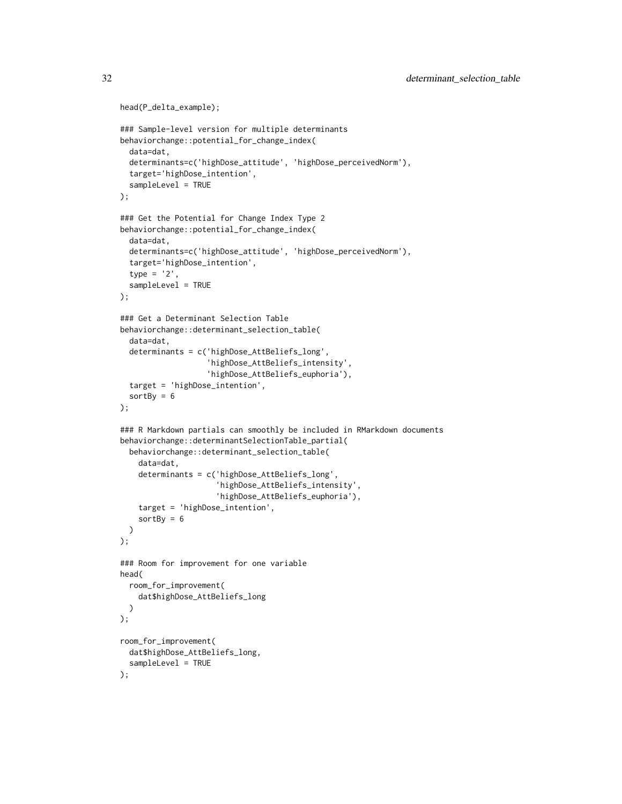```
head(P_delta_example);
### Sample-level version for multiple determinants
behaviorchange::potential_for_change_index(
  data=dat,
  determinants=c('highDose_attitude', 'highDose_perceivedNorm'),
  target='highDose_intention',
  sampleLevel = TRUE
);
### Get the Potential for Change Index Type 2
behaviorchange::potential_for_change_index(
  data=dat,
  determinants=c('highDose_attitude', 'highDose_perceivedNorm'),
  target='highDose_intention',
  type = '2',
  sampleLevel = TRUE
);
### Get a Determinant Selection Table
behaviorchange::determinant_selection_table(
  data=dat,
  determinants = c('highDose_AttBeliefs_long',
                   'highDose_AttBeliefs_intensity',
                   'highDose_AttBeliefs_euphoria'),
  target = 'highDose_intention',
  sortBy = 6);
### R Markdown partials can smoothly be included in RMarkdown documents
behaviorchange::determinantSelectionTable_partial(
  behaviorchange::determinant_selection_table(
    data=dat,
    determinants = c('highDose_AttBeliefs_long',
                     'highDose_AttBeliefs_intensity',
                     'highDose_AttBeliefs_euphoria'),
    target = 'highDose_intention',
    sortBy = 6)
);
### Room for improvement for one variable
head(
  room_for_improvement(
    dat$highDose_AttBeliefs_long
  )
);
room_for_improvement(
  dat$highDose_AttBeliefs_long,
  sampleLevel = TRUE
);
```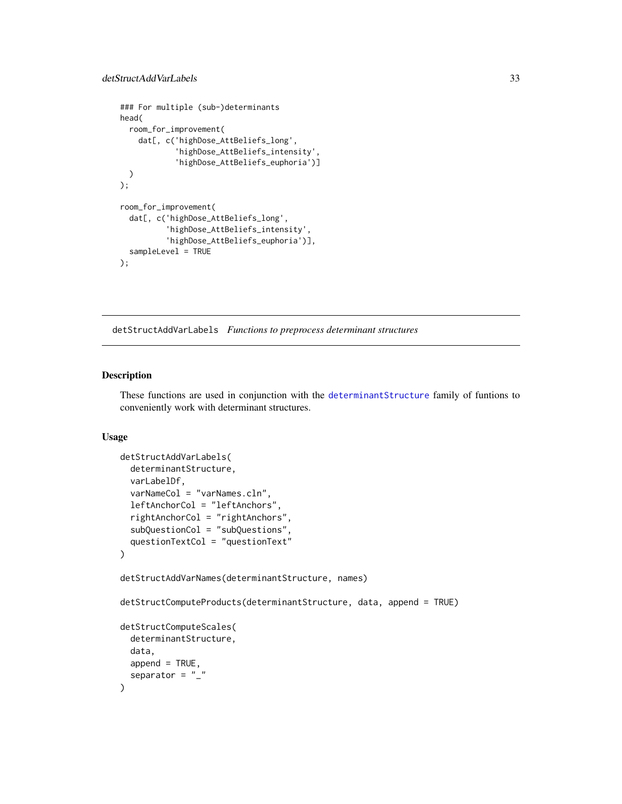```
### For multiple (sub-)determinants
head(
  room_for_improvement(
   dat[, c('highDose_AttBeliefs_long',
            'highDose_AttBeliefs_intensity',
            'highDose_AttBeliefs_euphoria')]
  )
);
room_for_improvement(
  dat[, c('highDose_AttBeliefs_long',
          'highDose_AttBeliefs_intensity',
          'highDose_AttBeliefs_euphoria')],
  sampleLevel = TRUE
);
```
<span id="page-32-1"></span>detStructAddVarLabels *Functions to preprocess determinant structures*

# <span id="page-32-2"></span>Description

These functions are used in conjunction with the [determinantStructure](#page-24-1) family of funtions to conveniently work with determinant structures.

#### Usage

```
detStructAddVarLabels(
  determinantStructure,
  varLabelDf,
  varNameCol = "varNames.cln",
  leftAnchorCol = "leftAnchors",
  rightAnchorCol = "rightAnchors",
  subQuestionCol = "subQuestions",
  questionTextCol = "questionText"
)
detStructAddVarNames(determinantStructure, names)
detStructComputeProducts(determinantStructure, data, append = TRUE)
detStructComputeScales(
  determinantStructure,
  data,
  append = TRUE,separator = "_"
)
```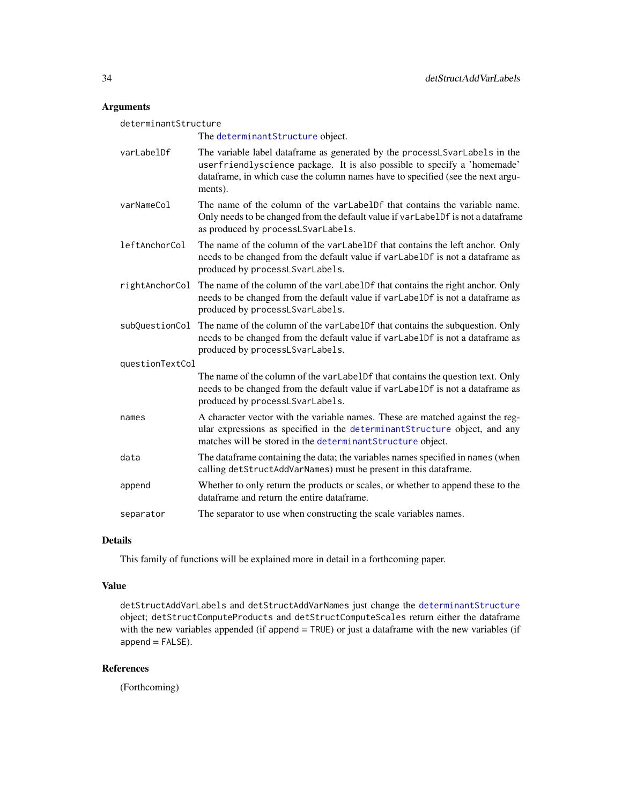# Arguments

| determinantStructure |                                                                                                                                                                                                                                                      |  |
|----------------------|------------------------------------------------------------------------------------------------------------------------------------------------------------------------------------------------------------------------------------------------------|--|
|                      | The determinant Structure object.                                                                                                                                                                                                                    |  |
| varLabelDf           | The variable label dataframe as generated by the processLSvarLabels in the<br>userfriendlyscience package. It is also possible to specify a 'homemade'<br>dataframe, in which case the column names have to specified (see the next argu-<br>ments). |  |
| varNameCol           | The name of the column of the varLabelDf that contains the variable name.<br>Only needs to be changed from the default value if varLabelDf is not a dataframe<br>as produced by processLSvarLabels.                                                  |  |
| leftAnchorCol        | The name of the column of the varLabelDf that contains the left anchor. Only<br>needs to be changed from the default value if varLabelDf is not a dataframe as<br>produced by processLSvarLabels.                                                    |  |
| rightAnchorCol       | The name of the column of the varLabelDf that contains the right anchor. Only<br>needs to be changed from the default value if varLabelDf is not a dataframe as<br>produced by processLSvarLabels.                                                   |  |
| subQuestionCol       | The name of the column of the varLabelDf that contains the subquestion. Only<br>needs to be changed from the default value if varLabelDf is not a dataframe as<br>produced by processLSvarLabels.                                                    |  |
| questionTextCol      |                                                                                                                                                                                                                                                      |  |
|                      | The name of the column of the varLabelDf that contains the question text. Only<br>needs to be changed from the default value if varLabelDf is not a dataframe as<br>produced by processLSvarLabels.                                                  |  |
| names                | A character vector with the variable names. These are matched against the reg-<br>ular expressions as specified in the determinantStructure object, and any<br>matches will be stored in the determinant Structure object.                           |  |
| data                 | The dataframe containing the data; the variables names specified in names (when<br>calling detStructAddVarNames) must be present in this dataframe.                                                                                                  |  |
| append               | Whether to only return the products or scales, or whether to append these to the<br>dataframe and return the entire dataframe.                                                                                                                       |  |
| separator            | The separator to use when constructing the scale variables names.                                                                                                                                                                                    |  |

# Details

This family of functions will be explained more in detail in a forthcoming paper.

# Value

detStructAddVarLabels and detStructAddVarNames just change the [determinantStructure](#page-24-1) object; detStructComputeProducts and detStructComputeScales return either the dataframe with the new variables appended (if append = TRUE) or just a dataframe with the new variables (if append = FALSE).

# References

(Forthcoming)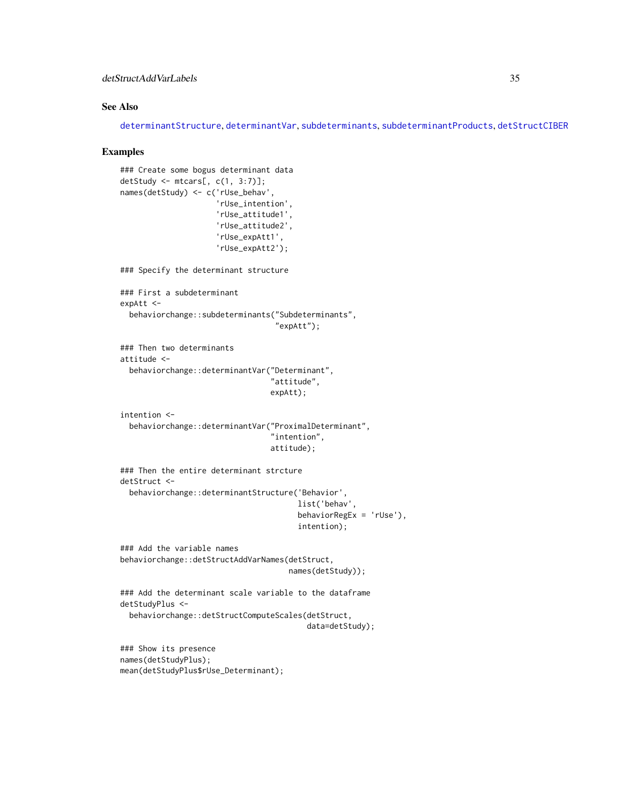# <span id="page-34-0"></span>detStructAddVarLabels 35

# See Also

[determinantStructure](#page-24-1), [determinantVar](#page-24-2), [subdeterminants](#page-24-2), [subdeterminantProducts](#page-24-2), [detStructCIBER](#page-8-2)

```
### Create some bogus determinant data
detStudy <- mtcars[, c(1, 3:7)];
names(detStudy) <- c('rUse_behav',
                     'rUse_intention',
                     'rUse_attitude1',
                     'rUse_attitude2',
                     'rUse_expAtt1',
                     'rUse_expAtt2');
### Specify the determinant structure
### First a subdeterminant
expAtt <-
 behaviorchange::subdeterminants("Subdeterminants",
                                  "expAtt");
### Then two determinants
attitude <-
 behaviorchange::determinantVar("Determinant",
                                 "attitude",
                                 expAtt);
intention <-
 behaviorchange::determinantVar("ProximalDeterminant",
                                 "intention",
                                 attitude);
### Then the entire determinant strcture
detStruct <-
 behaviorchange::determinantStructure('Behavior',
                                       list('behav',
                                       behaviorRegEx = 'rUse'),
                                       intention);
### Add the variable names
behaviorchange::detStructAddVarNames(detStruct,
                                     names(detStudy));
### Add the determinant scale variable to the dataframe
detStudyPlus <-
 behaviorchange::detStructComputeScales(detStruct,
                                         data=detStudy);
### Show its presence
names(detStudyPlus);
mean(detStudyPlus$rUse_Determinant);
```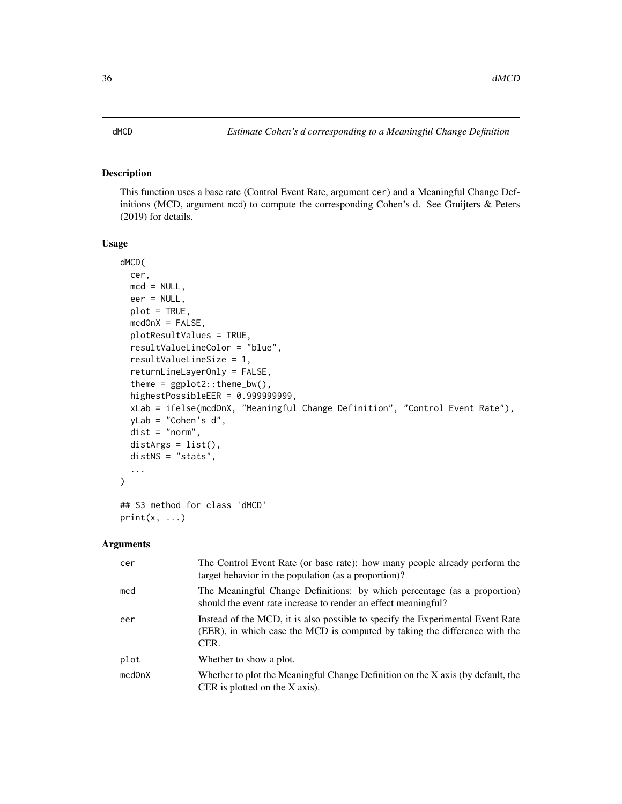#### <span id="page-35-0"></span>Description

This function uses a base rate (Control Event Rate, argument cer) and a Meaningful Change Definitions (MCD, argument mcd) to compute the corresponding Cohen's d. See Gruijters & Peters (2019) for details.

#### Usage

```
dMCD(
  cer,
 mcd = NULL,eer = NULL,
  plot = TRUE,
 medOnX = FALSE,plotResultValues = TRUE,
  resultValueLineColor = "blue",
  resultValueLineSize = 1,
  returnLineLayerOnly = FALSE,
  theme = ggplot2::theme_bw(),
  highestPossibleEER = 0.999999999,
  xLab = ifelse(mcdOnX, "Meaningful Change Definition", "Control Event Rate"),
  yLab = "Cohen's d",
  dist = "norm",
  distArgs = list(),
  distNS = "stats",
  ...
)
## S3 method for class 'dMCD'
```
# Arguments

print(x, ...)

| cer    | The Control Event Rate (or base rate): how many people already perform the<br>target behavior in the population (as a proportion)?                                   |
|--------|----------------------------------------------------------------------------------------------------------------------------------------------------------------------|
| mcd    | The Meaningful Change Definitions: by which percentage (as a proportion)<br>should the event rate increase to render an effect meaningful?                           |
| eer    | Instead of the MCD, it is also possible to specify the Experimental Event Rate<br>(EER), in which case the MCD is computed by taking the difference with the<br>CER. |
| plot   | Whether to show a plot.                                                                                                                                              |
| mcdOnX | Whether to plot the Meaningful Change Definition on the X axis (by default, the<br>CER is plotted on the $X$ axis).                                                  |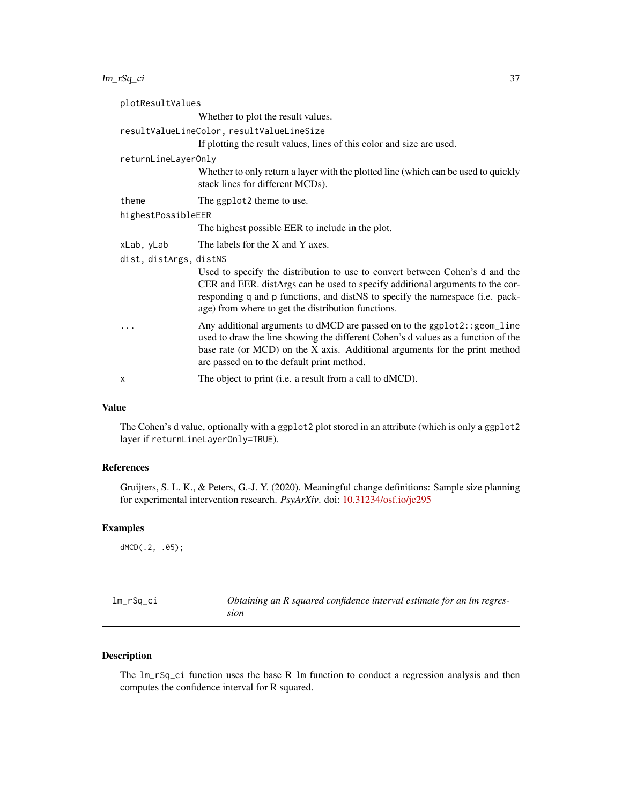<span id="page-36-0"></span> $lm\_rSq\_ci$  37

| plotResultValues       |                                                                                                                                                                                                                                                                                                      |  |
|------------------------|------------------------------------------------------------------------------------------------------------------------------------------------------------------------------------------------------------------------------------------------------------------------------------------------------|--|
|                        | Whether to plot the result values.                                                                                                                                                                                                                                                                   |  |
|                        | resultValueLineColor, resultValueLineSize                                                                                                                                                                                                                                                            |  |
|                        | If plotting the result values, lines of this color and size are used.                                                                                                                                                                                                                                |  |
| returnLineLayerOnly    |                                                                                                                                                                                                                                                                                                      |  |
|                        | Whether to only return a layer with the plotted line (which can be used to quickly<br>stack lines for different MCDs).                                                                                                                                                                               |  |
| theme                  | The ggplot2 theme to use.                                                                                                                                                                                                                                                                            |  |
| highestPossibleEER     |                                                                                                                                                                                                                                                                                                      |  |
|                        | The highest possible EER to include in the plot.                                                                                                                                                                                                                                                     |  |
| xLab, yLab             | The labels for the X and Y axes.                                                                                                                                                                                                                                                                     |  |
| dist, distArgs, distNS |                                                                                                                                                                                                                                                                                                      |  |
|                        | Used to specify the distribution to use to convert between Cohen's d and the<br>CER and EER. distArgs can be used to specify additional arguments to the cor-<br>responding q and p functions, and distNS to specify the namespace (i.e. pack-<br>age) from where to get the distribution functions. |  |
|                        | Any additional arguments to dMCD are passed on to the ggplot2:: geom_line<br>used to draw the line showing the different Cohen's d values as a function of the<br>base rate (or MCD) on the X axis. Additional arguments for the print method<br>are passed on to the default print method.          |  |
| X                      | The object to print (i.e. a result from a call to dMCD).                                                                                                                                                                                                                                             |  |

# Value

The Cohen's d value, optionally with a ggplot2 plot stored in an attribute (which is only a ggplot2 layer if returnLineLayerOnly=TRUE).

# References

Gruijters, S. L. K., & Peters, G.-J. Y. (2020). Meaningful change definitions: Sample size planning for experimental intervention research. *PsyArXiv*. doi: [10.31234/osf.io/jc295](https://doi.org/10.31234/osf.io/jc295)

#### Examples

dMCD(.2, .05);

| lm_rSq_ci | Obtaining an R squared confidence interval estimate for an lm regres- |
|-----------|-----------------------------------------------------------------------|
|           | sıon                                                                  |

# Description

The lm\_rSq\_ci function uses the base R lm function to conduct a regression analysis and then computes the confidence interval for R squared.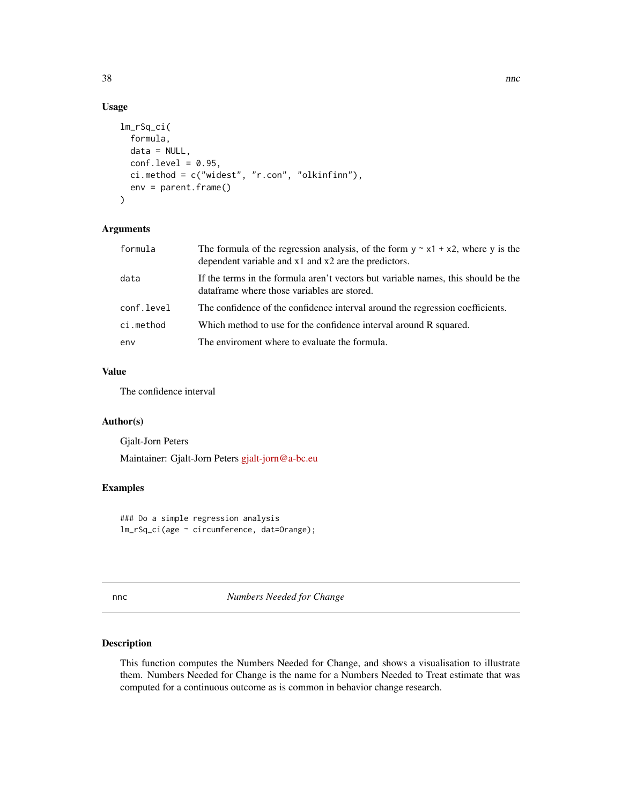# Usage

```
lm_rSq_ci(
  formula,
  data = NULL,
  conf. level = 0.95,
 ci.method = c("widest", "r.con", "olkinfinn"),
  env = parent.frame()
)
```
# Arguments

| formula    | The formula of the regression analysis, of the form $y \sim x1 + x2$ , where y is the<br>dependent variable and $x1$ and $x2$ are the predictors. |
|------------|---------------------------------------------------------------------------------------------------------------------------------------------------|
| data       | If the terms in the formula aren't vectors but variable names, this should be the<br>dataframe where those variables are stored.                  |
| conf.level | The confidence of the confidence interval around the regression coefficients.                                                                     |
| ci.method  | Which method to use for the confidence interval around R squared.                                                                                 |
| env        | The enviroment where to evaluate the formula.                                                                                                     |

# Value

The confidence interval

# Author(s)

Gjalt-Jorn Peters Maintainer: Gjalt-Jorn Peters [gjalt-jorn@a-bc.eu](mailto:gjalt-jorn@a-bc.eu)

#### Examples

### Do a simple regression analysis lm\_rSq\_ci(age ~ circumference, dat=Orange);

<span id="page-37-1"></span>nnc *Numbers Needed for Change*

# <span id="page-37-2"></span>Description

This function computes the Numbers Needed for Change, and shows a visualisation to illustrate them. Numbers Needed for Change is the name for a Numbers Needed to Treat estimate that was computed for a continuous outcome as is common in behavior change research.

<span id="page-37-0"></span>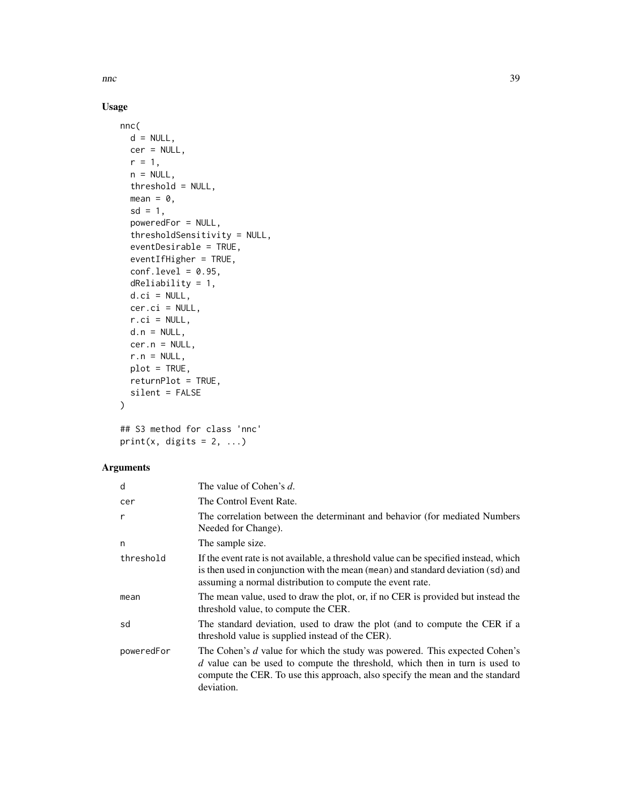$n_{\rm n}$  and  $39$ 

# Usage

```
nnc(
 d = NULL,cer = NULL,
 r = 1,
 n = NULL,threshold = NULL,
 mean = 0,
  sd = 1,
 poweredFor = NULL,
  thresholdSensitivity = NULL,
 eventDesirable = TRUE,
 eventIfHigher = TRUE,
 conf. level = 0.95,dReliability = 1,
 d.ci = NULL,
 cer.ci = NULL,
 r.ci = NULL,d.n = NULL,cer.n = NULL,
  r.n = NULL,plot = TRUE,
 returnPlot = TRUE,
 silent = FALSE
)
```
## S3 method for class 'nnc' print(x, digits =  $2, ...$ )

| d          | The value of Cohen's d.                                                                                                                                                                                                                                    |
|------------|------------------------------------------------------------------------------------------------------------------------------------------------------------------------------------------------------------------------------------------------------------|
| cer        | The Control Event Rate.                                                                                                                                                                                                                                    |
| r          | The correlation between the determinant and behavior (for mediated Numbers<br>Needed for Change).                                                                                                                                                          |
| n          | The sample size.                                                                                                                                                                                                                                           |
| threshold  | If the event rate is not available, a threshold value can be specified instead, which<br>is then used in conjunction with the mean (mean) and standard deviation (sd) and<br>assuming a normal distribution to compute the event rate.                     |
| mean       | The mean value, used to draw the plot, or, if no CER is provided but instead the<br>threshold value, to compute the CER.                                                                                                                                   |
| sd         | The standard deviation, used to draw the plot (and to compute the CER if a<br>threshold value is supplied instead of the CER).                                                                                                                             |
| poweredFor | The Cohen's d value for which the study was powered. This expected Cohen's<br>$d$ value can be used to compute the threshold, which then in turn is used to<br>compute the CER. To use this approach, also specify the mean and the standard<br>deviation. |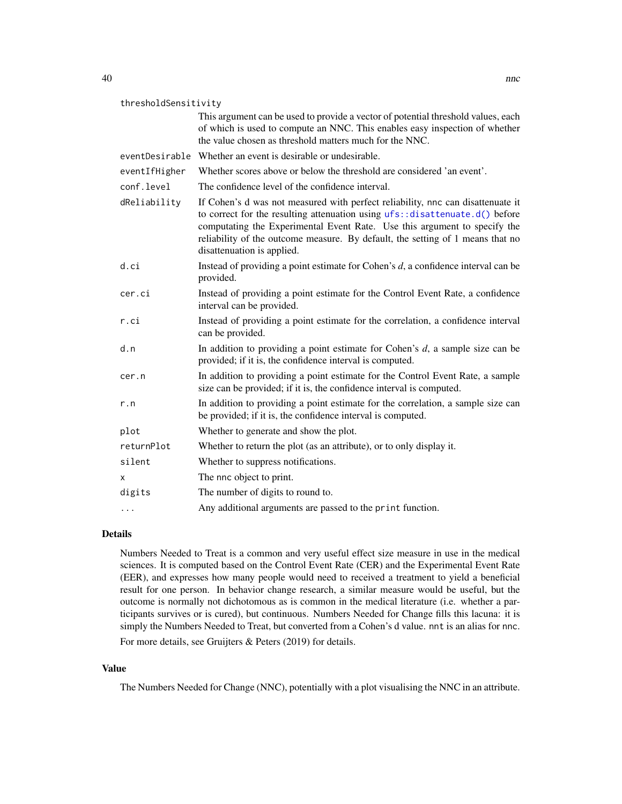<span id="page-39-0"></span>

| thresholdSensitivity |                                                                                                                                                                                                                                                                                                                                                             |
|----------------------|-------------------------------------------------------------------------------------------------------------------------------------------------------------------------------------------------------------------------------------------------------------------------------------------------------------------------------------------------------------|
|                      | This argument can be used to provide a vector of potential threshold values, each<br>of which is used to compute an NNC. This enables easy inspection of whether<br>the value chosen as threshold matters much for the NNC.                                                                                                                                 |
|                      | eventDesirable Whether an event is desirable or undesirable.                                                                                                                                                                                                                                                                                                |
| eventIfHigher        | Whether scores above or below the threshold are considered 'an event'.                                                                                                                                                                                                                                                                                      |
| conf.level           | The confidence level of the confidence interval.                                                                                                                                                                                                                                                                                                            |
| dReliability         | If Cohen's d was not measured with perfect reliability, nnc can disattenuate it<br>to correct for the resulting attenuation using ufs::disattenuate.d() before<br>computating the Experimental Event Rate. Use this argument to specify the<br>reliability of the outcome measure. By default, the setting of 1 means that no<br>disattenuation is applied. |
| d.ci                 | Instead of providing a point estimate for Cohen's d, a confidence interval can be<br>provided.                                                                                                                                                                                                                                                              |
| cer.ci               | Instead of providing a point estimate for the Control Event Rate, a confidence<br>interval can be provided.                                                                                                                                                                                                                                                 |
| r.ci                 | Instead of providing a point estimate for the correlation, a confidence interval<br>can be provided.                                                                                                                                                                                                                                                        |

- d.n In addition to providing a point estimate for Cohen's *d*, a sample size can be provided; if it is, the confidence interval is computed.
- cer.n In addition to providing a point estimate for the Control Event Rate, a sample size can be provided; if it is, the confidence interval is computed.
- r.n In addition to providing a point estimate for the correlation, a sample size can be provided; if it is, the confidence interval is computed.
- plot Whether to generate and show the plot.
- returnPlot Whether to return the plot (as an attribute), or to only display it.
- silent Whether to suppress notifications.
- x The nnc object to print.
- digits The number of digits to round to.
- ... Any additional arguments are passed to the print function.

### Details

Numbers Needed to Treat is a common and very useful effect size measure in use in the medical sciences. It is computed based on the Control Event Rate (CER) and the Experimental Event Rate (EER), and expresses how many people would need to received a treatment to yield a beneficial result for one person. In behavior change research, a similar measure would be useful, but the outcome is normally not dichotomous as is common in the medical literature (i.e. whether a participants survives or is cured), but continuous. Numbers Needed for Change fills this lacuna: it is simply the Numbers Needed to Treat, but converted from a Cohen's d value. nnt is an alias for nnc. For more details, see Gruijters & Peters (2019) for details.

#### Value

The Numbers Needed for Change (NNC), potentially with a plot visualising the NNC in an attribute.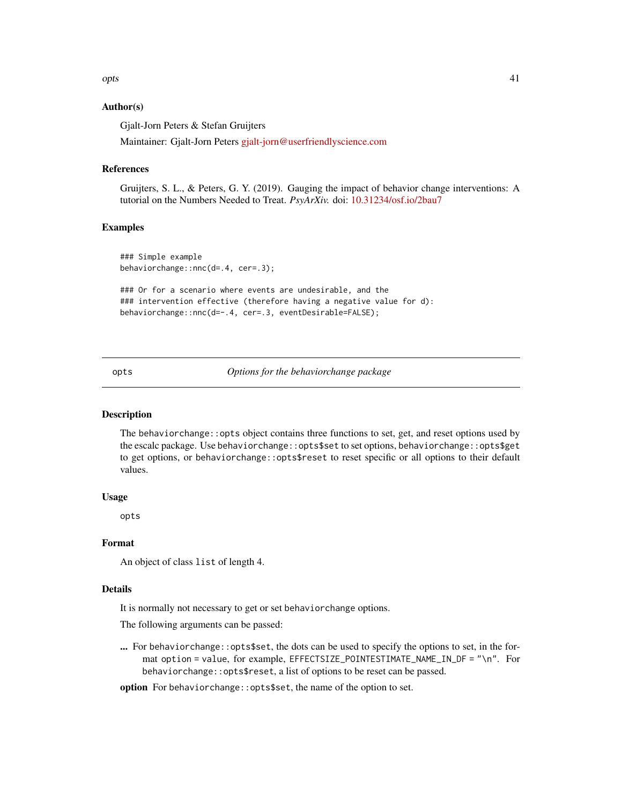<span id="page-40-0"></span>opts and the set of the set of the set of the set of the set of the set of the set of the set of the set of the set of the set of the set of the set of the set of the set of the set of the set of the set of the set of the

#### Author(s)

Gjalt-Jorn Peters & Stefan Gruijters

Maintainer: Gjalt-Jorn Peters [gjalt-jorn@userfriendlyscience.com](mailto:gjalt-jorn@userfriendlyscience.com)

#### References

Gruijters, S. L., & Peters, G. Y. (2019). Gauging the impact of behavior change interventions: A tutorial on the Numbers Needed to Treat. *PsyArXiv.* doi: [10.31234/osf.io/2bau7](https://doi.org/10.31234/osf.io/2bau7)

#### Examples

```
### Simple example
behaviorchange::nnc(d=.4, cer=.3);
```
### Or for a scenario where events are undesirable, and the ### intervention effective (therefore having a negative value for d): behaviorchange::nnc(d=-.4, cer=.3, eventDesirable=FALSE);

opts *Options for the behaviorchange package*

# Description

The behaviorchange::opts object contains three functions to set, get, and reset options used by the escalc package. Use behaviorchange::opts\$set to set options, behaviorchange::opts\$get to get options, or behaviorchange::opts\$reset to reset specific or all options to their default values.

# Usage

opts

# Format

An object of class list of length 4.

#### Details

It is normally not necessary to get or set behaviorchange options.

The following arguments can be passed:

... For behaviorchange::opts\$set, the dots can be used to specify the options to set, in the format option = value, for example, EFFECTSIZE\_POINTESTIMATE\_NAME\_IN\_DF = "\n". For behaviorchange::opts\$reset, a list of options to be reset can be passed.

option For behaviorchange::opts\$set, the name of the option to set.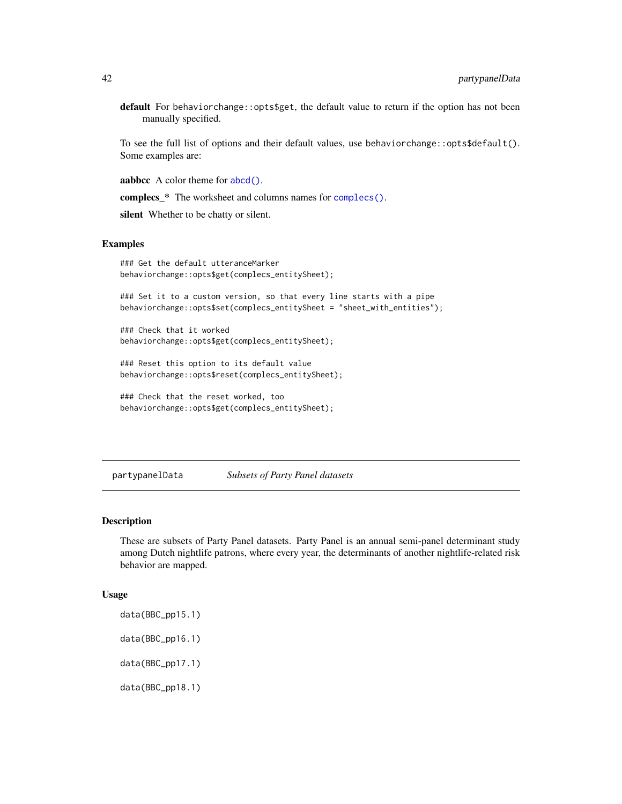<span id="page-41-0"></span>default For behaviorchange:: opts\$get, the default value to return if the option has not been manually specified.

To see the full list of options and their default values, use behaviorchange::opts\$default(). Some examples are:

aabbcc A color theme for [abcd\(\)](#page-2-1).

complecs\_\* The worksheet and columns names for [complecs\(\)](#page-15-1).

silent Whether to be chatty or silent.

#### Examples

```
### Get the default utteranceMarker
behaviorchange::opts$get(complecs_entitySheet);
```
### Set it to a custom version, so that every line starts with a pipe behaviorchange::opts\$set(complecs\_entitySheet = "sheet\_with\_entities");

### Check that it worked behaviorchange::opts\$get(complecs\_entitySheet);

### Reset this option to its default value behaviorchange::opts\$reset(complecs\_entitySheet);

```
### Check that the reset worked, too
behaviorchange::opts$get(complecs_entitySheet);
```
partypanelData *Subsets of Party Panel datasets*

### Description

These are subsets of Party Panel datasets. Party Panel is an annual semi-panel determinant study among Dutch nightlife patrons, where every year, the determinants of another nightlife-related risk behavior are mapped.

#### Usage

data(BBC\_pp15.1) data(BBC\_pp16.1) data(BBC\_pp17.1) data(BBC\_pp18.1)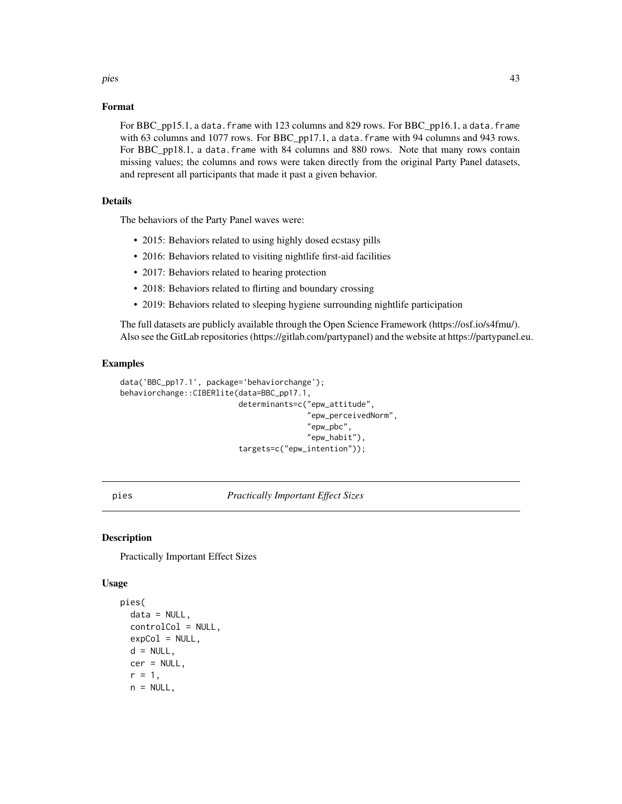#### <span id="page-42-0"></span>pies the contract of the contract of the contract of the contract of the contract of the contract of the contract of the contract of the contract of the contract of the contract of the contract of the contract of the contr

### Format

For BBC pp15.1, a data. frame with 123 columns and 829 rows. For BBC\_pp16.1, a data. frame with 63 columns and 1077 rows. For BBC\_pp17.1, a data.frame with 94 columns and 943 rows. For BBC\_pp18.1, a data.frame with 84 columns and 880 rows. Note that many rows contain missing values; the columns and rows were taken directly from the original Party Panel datasets, and represent all participants that made it past a given behavior.

# Details

The behaviors of the Party Panel waves were:

- 2015: Behaviors related to using highly dosed ecstasy pills
- 2016: Behaviors related to visiting nightlife first-aid facilities
- 2017: Behaviors related to hearing protection
- 2018: Behaviors related to flirting and boundary crossing
- 2019: Behaviors related to sleeping hygiene surrounding nightlife participation

The full datasets are publicly available through the Open Science Framework (https://osf.io/s4fmu/). Also see the GitLab repositories (https://gitlab.com/partypanel) and the website at https://partypanel.eu.

#### Examples

```
data('BBC_pp17.1', package='behaviorchange');
behaviorchange::CIBERlite(data=BBC_pp17.1,
                          determinants=c("epw_attitude",
                                          "epw_perceivedNorm",
                                          "epw_pbc",
                                          "epw_habit"),
                          targets=c("epw_intention"));
```
pies *Practically Important Effect Sizes*

#### Description

Practically Important Effect Sizes

#### Usage

```
pies(
  data = NULL,
  controlCol = NULL,
  expCol = NULL,d = NULL,
  cer = NULL,
  r = 1,
  n = NULL,
```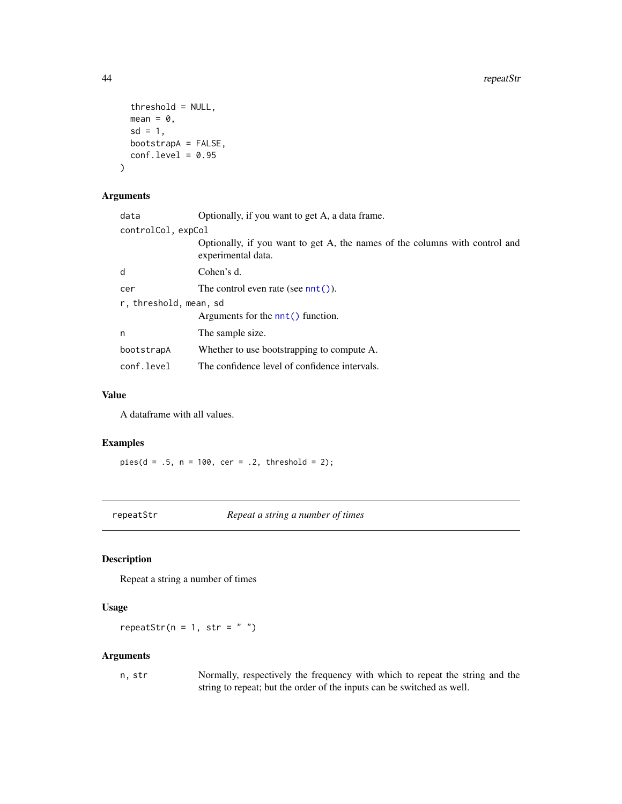```
threshold = NULL,
 mean = 0,
 sd = 1,
 bootstrapA = FALSE,
 conf. level = 0.95)
```
# Arguments

| data                   | Optionally, if you want to get A, a data frame.                                                   |  |
|------------------------|---------------------------------------------------------------------------------------------------|--|
| controlCol, expCol     |                                                                                                   |  |
|                        | Optionally, if you want to get A, the names of the columns with control and<br>experimental data. |  |
| d                      | Cohen's d.                                                                                        |  |
| cer                    | The control even rate (see $nnt()$ ).                                                             |  |
| r, threshold, mean, sd |                                                                                                   |  |
|                        | Arguments for the $nnt()$ function.                                                               |  |
| n                      | The sample size.                                                                                  |  |
| bootstrapA             | Whether to use bootstrapping to compute A.                                                        |  |
| conf.level             | The confidence level of confidence intervals.                                                     |  |
|                        |                                                                                                   |  |

#### Value

A dataframe with all values.

#### Examples

 $pies(d = .5, n = 100, cer = .2, threshold = 2);$ 

repeatStr *Repeat a string a number of times*

# Description

Repeat a string a number of times

# Usage

repeatStr( $n = 1$ , str = "")

#### Arguments

n, str Normally, respectively the frequency with which to repeat the string and the string to repeat; but the order of the inputs can be switched as well.

<span id="page-43-0"></span>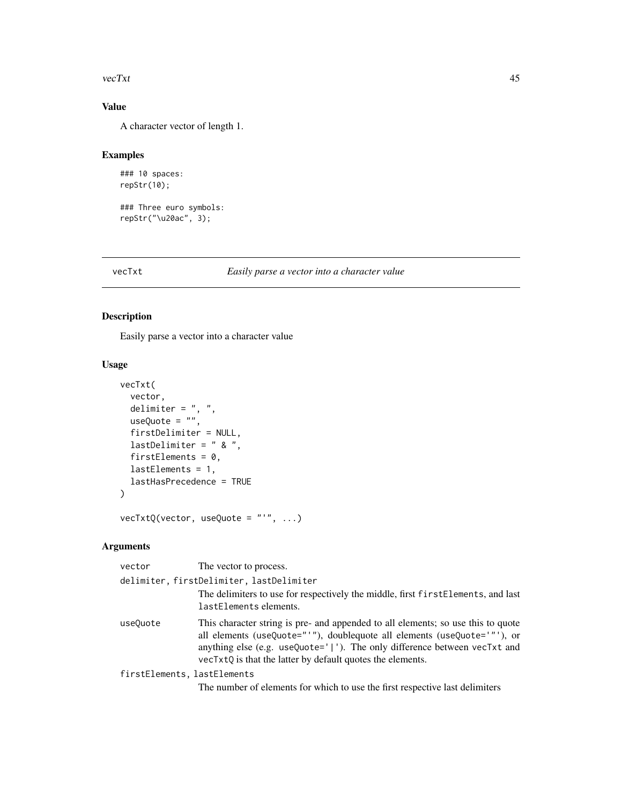#### <span id="page-44-0"></span>vecTxt 45

# Value

A character vector of length 1.

#### Examples

```
### 10 spaces:
repStr(10);
```
### Three euro symbols: repStr("\u20ac", 3);

#### vecTxt *Easily parse a vector into a character value*

# Description

Easily parse a vector into a character value

# Usage

```
vecTxt(
 vector,
 delimiter = ", ",
 useQuote = ",
  firstDelimiter = NULL,
 lastDelimiter = " & ",
 firstElements = 0,
 lastElements = 1,
 lastHasPrecedence = TRUE
)
vecTxtQ(vector, useQuote = "'", ...)
```

| vector                                   | The vector to process.                                                                                                                                                                                                                                                                                        |  |
|------------------------------------------|---------------------------------------------------------------------------------------------------------------------------------------------------------------------------------------------------------------------------------------------------------------------------------------------------------------|--|
| delimiter, firstDelimiter, lastDelimiter |                                                                                                                                                                                                                                                                                                               |  |
|                                          | The delimiters to use for respectively the middle, first first Elements, and last<br>lastElements elements.                                                                                                                                                                                                   |  |
| use0uote                                 | This character string is pre- and appended to all elements; so use this to quote<br>all elements (useQuote="'"), doublequote all elements (useQuote='"'), or<br>anything else (e.g. useQuote=' '). The only difference between $\vee$ ecTxt and<br>vecTxtQ is that the latter by default quotes the elements. |  |
| firstElements, lastElements              |                                                                                                                                                                                                                                                                                                               |  |
|                                          | The number of elements for which to use the first respective last delimiters                                                                                                                                                                                                                                  |  |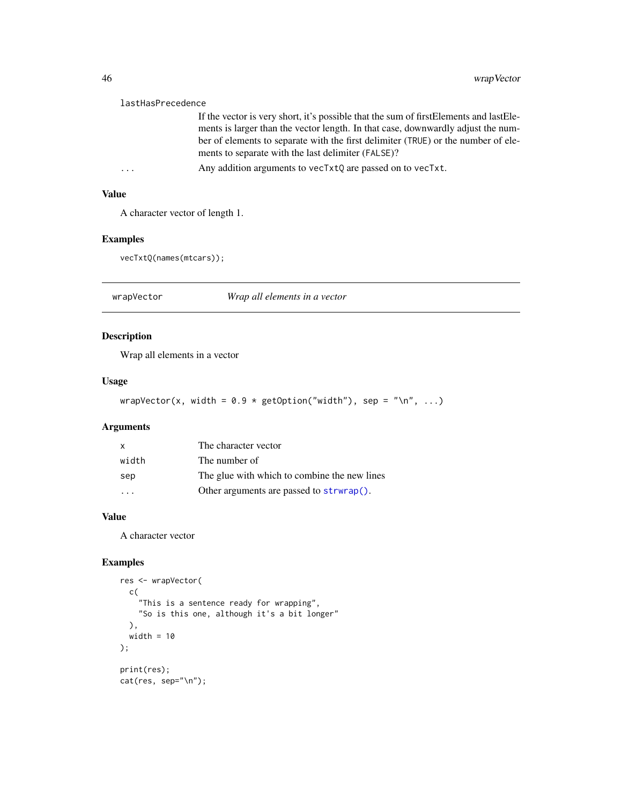#### <span id="page-45-0"></span>lastHasPrecedence

If the vector is very short, it's possible that the sum of firstElements and lastElements is larger than the vector length. In that case, downwardly adjust the number of elements to separate with the first delimiter (TRUE) or the number of elements to separate with the last delimiter (FALSE)?

... Any addition arguments to vecTxtQ are passed on to vecTxt.

# Value

A character vector of length 1.

# Examples

vecTxtQ(names(mtcars));

wrapVector *Wrap all elements in a vector*

# Description

Wrap all elements in a vector

#### Usage

```
wrapVector(x, width = 0.9 * getOption("width"), sep = " \n\n  ", ...)
```
# Arguments

| X     | The character vector                         |
|-------|----------------------------------------------|
| width | The number of                                |
| sep   | The glue with which to combine the new lines |
| .     | Other arguments are passed to strwrap().     |

#### Value

A character vector

```
res <- wrapVector(
 c(
    "This is a sentence ready for wrapping",
    "So is this one, although it's a bit longer"
 ),
 width = 10);
print(res);
cat(res, sep="\n");
```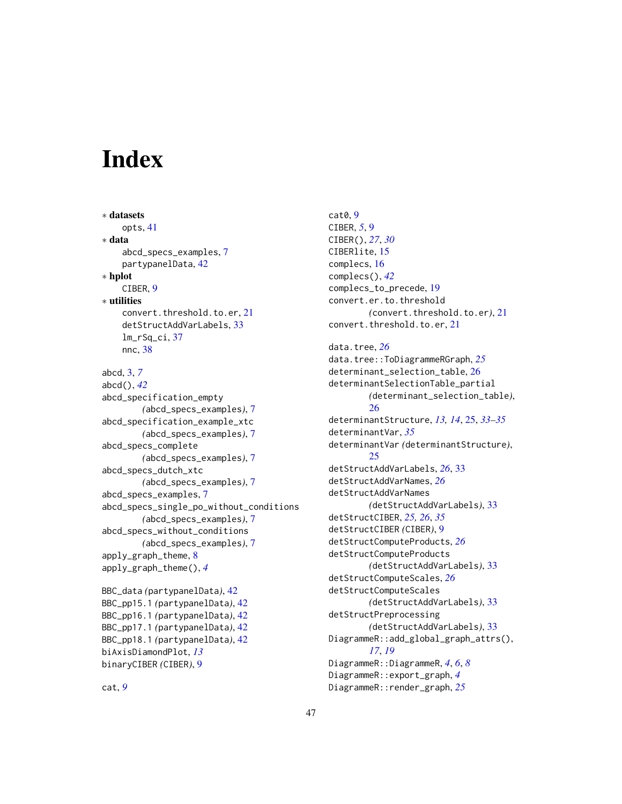# <span id="page-46-0"></span>**Index**

∗ datasets opts, [41](#page-40-0) ∗ data abcd\_specs\_examples, [7](#page-6-0) partypanelData, [42](#page-41-0) ∗ hplot CIBER, [9](#page-8-0) ∗ utilities convert.threshold.to.er, [21](#page-20-0) detStructAddVarLabels, [33](#page-32-0) lm\_rSq\_ci, [37](#page-36-0) nnc, [38](#page-37-0) abcd, [3,](#page-2-0) *[7](#page-6-0)* abcd(), *[42](#page-41-0)* abcd\_specification\_empty *(*abcd\_specs\_examples*)*, [7](#page-6-0) abcd\_specification\_example\_xtc *(*abcd\_specs\_examples*)*, [7](#page-6-0) abcd\_specs\_complete *(*abcd\_specs\_examples*)*, [7](#page-6-0) abcd\_specs\_dutch\_xtc *(*abcd\_specs\_examples*)*, [7](#page-6-0) abcd\_specs\_examples, [7](#page-6-0) abcd\_specs\_single\_po\_without\_conditions *(*abcd\_specs\_examples*)*, [7](#page-6-0) abcd\_specs\_without\_conditions *(*abcd\_specs\_examples*)*, [7](#page-6-0) apply\_graph\_theme, [8](#page-7-0) apply\_graph\_theme(), *[4](#page-3-0)* BBC\_data *(*partypanelData*)*, [42](#page-41-0) BBC\_pp15.1 *(*partypanelData*)*, [42](#page-41-0) BBC\_pp16.1 *(*partypanelData*)*, [42](#page-41-0) BBC\_pp17.1 *(*partypanelData*)*, [42](#page-41-0) BBC\_pp18.1 *(*partypanelData*)*, [42](#page-41-0) biAxisDiamondPlot, *[13](#page-12-0)*

cat0, [9](#page-8-0) CIBER, *[5](#page-4-0)*, [9](#page-8-0) CIBER(), *[27](#page-26-0)*, *[30](#page-29-0)* CIBERlite, [15](#page-14-0) complecs, [16](#page-15-0) complecs(), *[42](#page-41-0)* complecs\_to\_precede, [19](#page-18-0) convert.er.to.threshold *(*convert.threshold.to.er*)*, [21](#page-20-0) convert.threshold.to.er, [21](#page-20-0) data.tree, *[26](#page-25-0)* data.tree::ToDiagrammeRGraph, *[25](#page-24-0)* determinant\_selection\_table, [26](#page-25-0) determinantSelectionTable\_partial *(*determinant\_selection\_table*)*, [26](#page-25-0) determinantStructure, *[13,](#page-12-0) [14](#page-13-0)*, [25,](#page-24-0) *[33](#page-32-0)[–35](#page-34-0)* determinantVar, *[35](#page-34-0)* determinantVar *(*determinantStructure*)*, [25](#page-24-0) detStructAddVarLabels, *[26](#page-25-0)*, [33](#page-32-0) detStructAddVarNames, *[26](#page-25-0)* detStructAddVarNames *(*detStructAddVarLabels*)*, [33](#page-32-0) detStructCIBER, *[25,](#page-24-0) [26](#page-25-0)*, *[35](#page-34-0)* detStructCIBER *(*CIBER*)*, [9](#page-8-0) detStructComputeProducts, *[26](#page-25-0)* detStructComputeProducts *(*detStructAddVarLabels*)*, [33](#page-32-0) detStructComputeScales, *[26](#page-25-0)* detStructComputeScales *(*detStructAddVarLabels*)*, [33](#page-32-0) detStructPreprocessing *(*detStructAddVarLabels*)*, [33](#page-32-0) DiagrammeR::add\_global\_graph\_attrs(), *[17](#page-16-0)*, *[19](#page-18-0)* DiagrammeR::DiagrammeR, *[4](#page-3-0)*, *[6](#page-5-0)*, *[8](#page-7-0)* DiagrammeR::export\_graph, *[4](#page-3-0)*

DiagrammeR::render\_graph, *[25](#page-24-0)*

cat, *[9](#page-8-0)*

binaryCIBER *(*CIBER*)*, [9](#page-8-0)